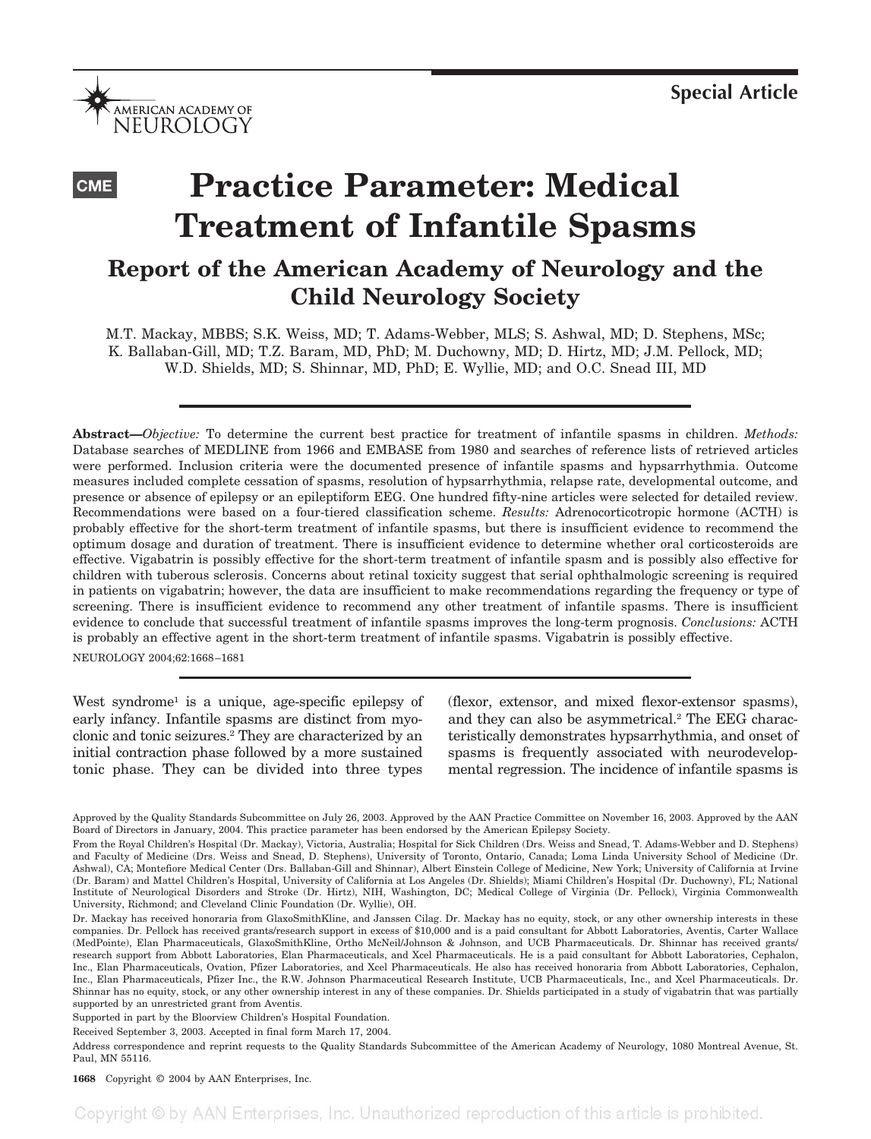

# **CME Practice Parameter: Medical Treatment of Infantile Spasms**

## **Report of the American Academy of Neurology and the Child Neurology Society**

M.T. Mackay, MBBS; S.K. Weiss, MD; T. Adams-Webber, MLS; S. Ashwal, MD; D. Stephens, MSc; K. Ballaban-Gill, MD; T.Z. Baram, MD, PhD; M. Duchowny, MD; D. Hirtz, MD; J.M. Pellock, MD; W.D. Shields, MD; S. Shinnar, MD, PhD; E. Wyllie, MD; and O.C. Snead III, MD

**Abstract—***Objective:* To determine the current best practice for treatment of infantile spasms in children. *Methods:* Database searches of MEDLINE from 1966 and EMBASE from 1980 and searches of reference lists of retrieved articles were performed. Inclusion criteria were the documented presence of infantile spasms and hypsarrhythmia. Outcome measures included complete cessation of spasms, resolution of hypsarrhythmia, relapse rate, developmental outcome, and presence or absence of epilepsy or an epileptiform EEG. One hundred fifty-nine articles were selected for detailed review. Recommendations were based on a four-tiered classification scheme. *Results:* Adrenocorticotropic hormone (ACTH) is probably effective for the short-term treatment of infantile spasms, but there is insufficient evidence to recommend the optimum dosage and duration of treatment. There is insufficient evidence to determine whether oral corticosteroids are effective. Vigabatrin is possibly effective for the short-term treatment of infantile spasm and is possibly also effective for children with tuberous sclerosis. Concerns about retinal toxicity suggest that serial ophthalmologic screening is required in patients on vigabatrin; however, the data are insufficient to make recommendations regarding the frequency or type of screening. There is insufficient evidence to recommend any other treatment of infantile spasms. There is insufficient evidence to conclude that successful treatment of infantile spasms improves the long-term prognosis. *Conclusions:* ACTH is probably an effective agent in the short-term treatment of infantile spasms. Vigabatrin is possibly effective.

NEUROLOGY 2004;62:1668–1681

West syndrome<sup>1</sup> is a unique, age-specific epilepsy of early infancy. Infantile spasms are distinct from myoclonic and tonic seizures.2 They are characterized by an initial contraction phase followed by a more sustained tonic phase. They can be divided into three types

(flexor, extensor, and mixed flexor-extensor spasms), and they can also be asymmetrical.2 The EEG characteristically demonstrates hypsarrhythmia, and onset of spasms is frequently associated with neurodevelopmental regression. The incidence of infantile spasms is

Supported in part by the Bloorview Children's Hospital Foundation.

Received September 3, 2003. Accepted in final form March 17, 2004.

Address correspondence and reprint requests to the Quality Standards Subcommittee of the American Academy of Neurology, 1080 Montreal Avenue, St. Paul, MN 55116.

**1668** Copyright © 2004 by AAN Enterprises, Inc.

Approved by the Quality Standards Subcommittee on July 26, 2003. Approved by the AAN Practice Committee on November 16, 2003. Approved by the AAN Board of Directors in January, 2004. This practice parameter has been endorsed by the American Epilepsy Society.

From the Royal Children's Hospital (Dr. Mackay), Victoria, Australia; Hospital for Sick Children (Drs. Weiss and Snead, T. Adams-Webber and D. Stephens) and Faculty of Medicine (Drs. Weiss and Snead, D. Stephens), University of Toronto, Ontario, Canada; Loma Linda University School of Medicine (Dr. Ashwal), CA; Montefiore Medical Center (Drs. Ballaban-Gill and Shinnar), Albert Einstein College of Medicine, New York; University of California at Irvine (Dr. Baram) and Mattel Children's Hospital, University of California at Los Angeles (Dr. Shields); Miami Children's Hospital (Dr. Duchowny), FL; National Institute of Neurological Disorders and Stroke (Dr. Hirtz), NIH, Washington, DC; Medical College of Virginia (Dr. Pellock), Virginia Commonwealth University, Richmond; and Cleveland Clinic Foundation (Dr. Wyllie), OH.

Dr. Mackay has received honoraria from GlaxoSmithKline, and Janssen Cilag. Dr. Mackay has no equity, stock, or any other ownership interests in these companies. Dr. Pellock has received grants/research support in excess of \$10,000 and is a paid consultant for Abbott Laboratories, Aventis, Carter Wallace (MedPointe), Elan Pharmaceuticals, GlaxoSmithKline, Ortho McNeil/Johnson & Johnson, and UCB Pharmaceuticals. Dr. Shinnar has received grants/ research support from Abbott Laboratories, Elan Pharmaceuticals, and Xcel Pharmaceuticals. He is a paid consultant for Abbott Laboratories, Cephalon, Inc., Elan Pharmaceuticals, Ovation, Pfizer Laboratories, and Xcel Pharmaceuticals. He also has received honoraria from Abbott Laboratories, Cephalon, Inc., Elan Pharmaceuticals, Pfizer Inc., the R.W. Johnson Pharmaceutical Research Institute, UCB Pharmaceuticals, Inc., and Xcel Pharmaceuticals. Dr. Shinnar has no equity, stock, or any other ownership interest in any of these companies. Dr. Shields participated in a study of vigabatrin that was partially supported by an unrestricted grant from Aventis.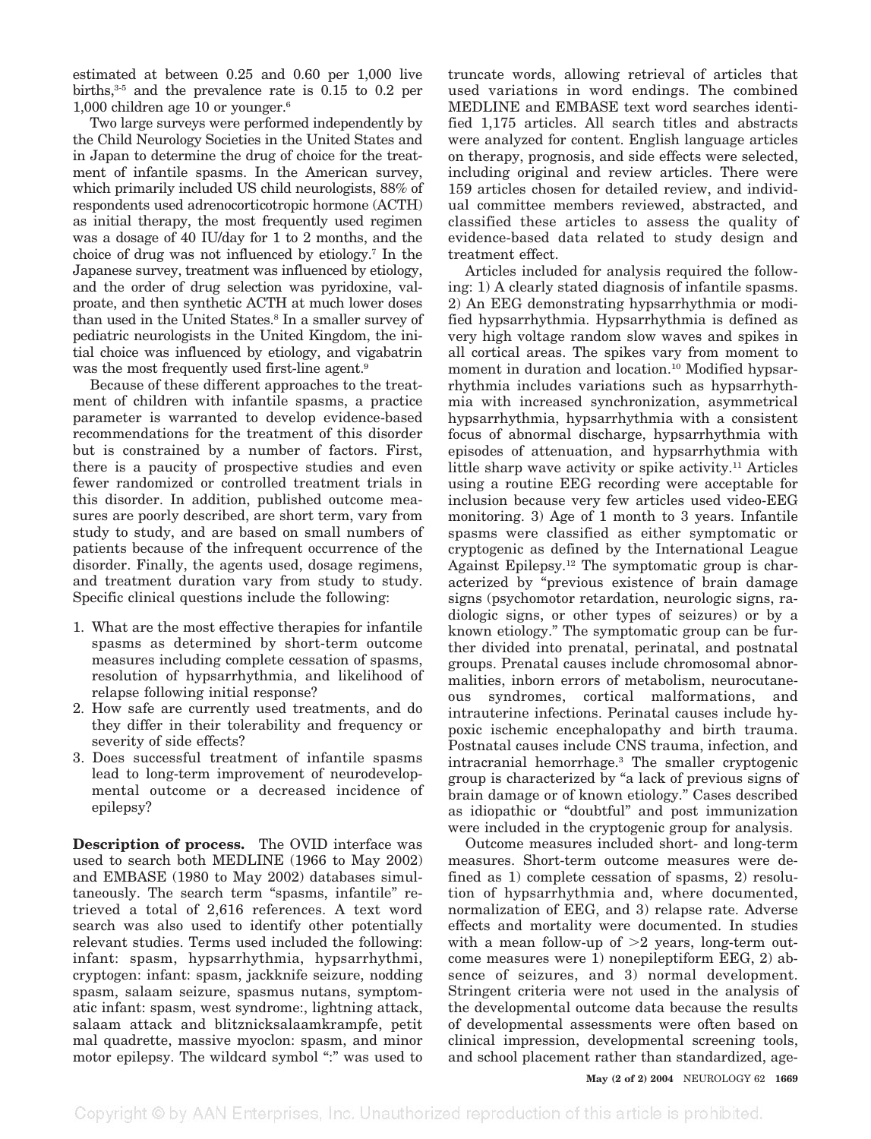estimated at between 0.25 and 0.60 per 1,000 live births, $3-5$  and the prevalence rate is 0.15 to 0.2 per 1,000 children age 10 or younger.6

Two large surveys were performed independently by the Child Neurology Societies in the United States and in Japan to determine the drug of choice for the treatment of infantile spasms. In the American survey, which primarily included US child neurologists, 88% of respondents used adrenocorticotropic hormone (ACTH) as initial therapy, the most frequently used regimen was a dosage of 40 IU/day for 1 to 2 months, and the choice of drug was not influenced by etiology.7 In the Japanese survey, treatment was influenced by etiology, and the order of drug selection was pyridoxine, valproate, and then synthetic ACTH at much lower doses than used in the United States.<sup>8</sup> In a smaller survey of pediatric neurologists in the United Kingdom, the initial choice was influenced by etiology, and vigabatrin was the most frequently used first-line agent.<sup>9</sup>

Because of these different approaches to the treatment of children with infantile spasms, a practice parameter is warranted to develop evidence-based recommendations for the treatment of this disorder but is constrained by a number of factors. First, there is a paucity of prospective studies and even fewer randomized or controlled treatment trials in this disorder. In addition, published outcome measures are poorly described, are short term, vary from study to study, and are based on small numbers of patients because of the infrequent occurrence of the disorder. Finally, the agents used, dosage regimens, and treatment duration vary from study to study. Specific clinical questions include the following:

- 1. What are the most effective therapies for infantile spasms as determined by short-term outcome measures including complete cessation of spasms, resolution of hypsarrhythmia, and likelihood of relapse following initial response?
- 2. How safe are currently used treatments, and do they differ in their tolerability and frequency or severity of side effects?
- 3. Does successful treatment of infantile spasms lead to long-term improvement of neurodevelopmental outcome or a decreased incidence of epilepsy?

**Description of process.** The OVID interface was used to search both MEDLINE (1966 to May 2002) and EMBASE (1980 to May 2002) databases simultaneously. The search term "spasms, infantile" retrieved a total of 2,616 references. A text word search was also used to identify other potentially relevant studies. Terms used included the following: infant: spasm, hypsarrhythmia, hypsarrhythmi, cryptogen: infant: spasm, jackknife seizure, nodding spasm, salaam seizure, spasmus nutans, symptomatic infant: spasm, west syndrome:, lightning attack, salaam attack and blitznicksalaamkrampfe, petit mal quadrette, massive myoclon: spasm, and minor motor epilepsy. The wildcard symbol ":" was used to truncate words, allowing retrieval of articles that used variations in word endings. The combined MEDLINE and EMBASE text word searches identified 1,175 articles. All search titles and abstracts were analyzed for content. English language articles on therapy, prognosis, and side effects were selected, including original and review articles. There were 159 articles chosen for detailed review, and individual committee members reviewed, abstracted, and classified these articles to assess the quality of evidence-based data related to study design and treatment effect.

Articles included for analysis required the following: 1) A clearly stated diagnosis of infantile spasms. 2) An EEG demonstrating hypsarrhythmia or modified hypsarrhythmia. Hypsarrhythmia is defined as very high voltage random slow waves and spikes in all cortical areas. The spikes vary from moment to moment in duration and location.10 Modified hypsarrhythmia includes variations such as hypsarrhythmia with increased synchronization, asymmetrical hypsarrhythmia, hypsarrhythmia with a consistent focus of abnormal discharge, hypsarrhythmia with episodes of attenuation, and hypsarrhythmia with little sharp wave activity or spike activity.<sup>11</sup> Articles using a routine EEG recording were acceptable for inclusion because very few articles used video-EEG monitoring. 3) Age of 1 month to 3 years. Infantile spasms were classified as either symptomatic or cryptogenic as defined by the International League Against Epilepsy.12 The symptomatic group is characterized by "previous existence of brain damage signs (psychomotor retardation, neurologic signs, radiologic signs, or other types of seizures) or by a known etiology." The symptomatic group can be further divided into prenatal, perinatal, and postnatal groups. Prenatal causes include chromosomal abnormalities, inborn errors of metabolism, neurocutaneous syndromes, cortical malformations, and intrauterine infections. Perinatal causes include hypoxic ischemic encephalopathy and birth trauma. Postnatal causes include CNS trauma, infection, and intracranial hemorrhage.3 The smaller cryptogenic group is characterized by "a lack of previous signs of brain damage or of known etiology." Cases described as idiopathic or "doubtful" and post immunization were included in the cryptogenic group for analysis.

Outcome measures included short- and long-term measures. Short-term outcome measures were defined as 1) complete cessation of spasms, 2) resolution of hypsarrhythmia and, where documented, normalization of EEG, and 3) relapse rate. Adverse effects and mortality were documented. In studies with a mean follow-up of  $>2$  years, long-term outcome measures were 1) nonepileptiform EEG, 2) absence of seizures, and 3) normal development. Stringent criteria were not used in the analysis of the developmental outcome data because the results of developmental assessments were often based on clinical impression, developmental screening tools, and school placement rather than standardized, age-

**May (2 of 2) 2004** NEUROLOGY 62 **1669**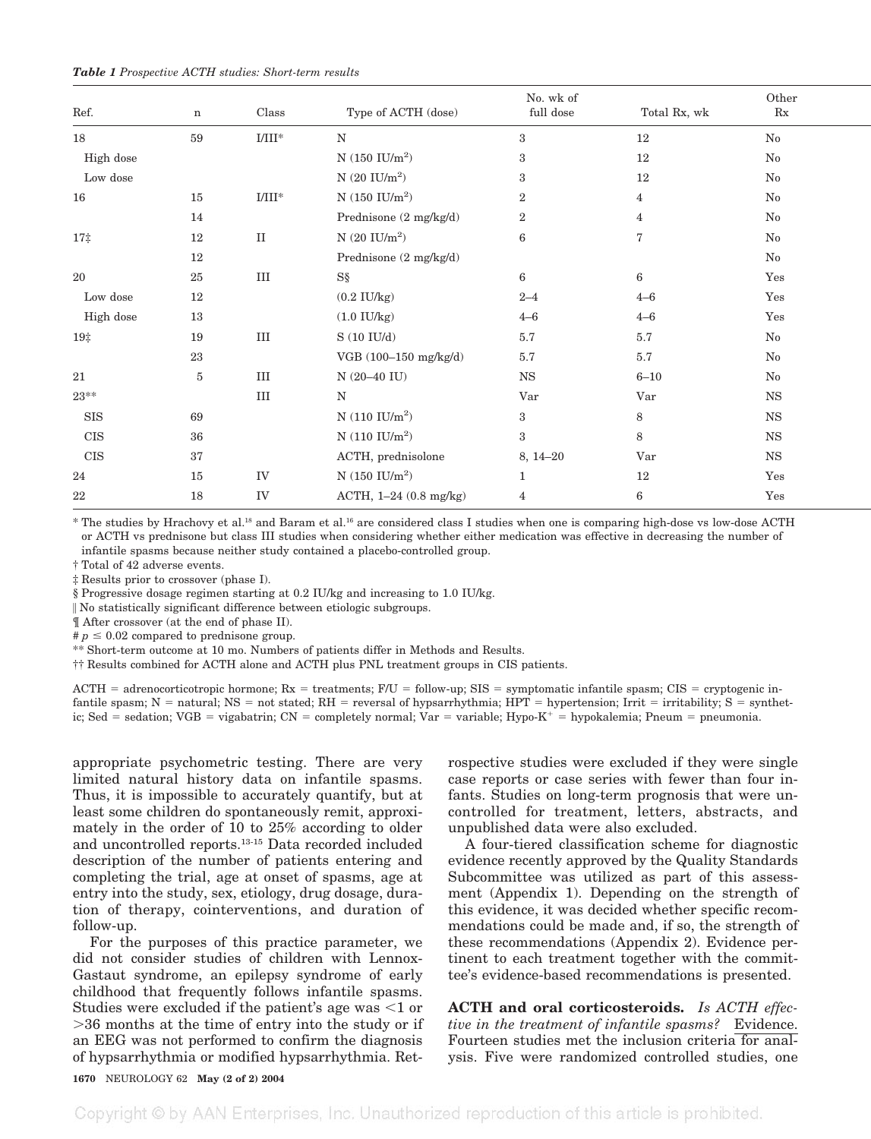| Ref.            | $\mathbf n$ | Class                   | Type of ACTH (dose)                | No. wk of<br>full dose | Total Rx, wk   | Other<br>$\mathop{\rm Rx}\nolimits$ |
|-----------------|-------------|-------------------------|------------------------------------|------------------------|----------------|-------------------------------------|
| 18              | 59          | $\text{I}/\text{III}^*$ | $\mathbf N$                        | 3                      | 12             | $\rm No$                            |
| High dose       |             |                         | $N$ (150 $\mathrm{IU/m^2})$        | 3                      | 12             | $\rm No$                            |
| Low dose        |             |                         | N (20 IU/m <sup>2</sup> )          | 3                      | 12             | $\rm No$                            |
| 16              | 15          | $\text{I}/\text{III}^*$ | $N$ $(150\text{~IU/m}^2)$          | $\boldsymbol{2}$       | $\overline{4}$ | $\rm No$                            |
|                 | 14          |                         | Prednisone (2 mg/kg/d)             | $\boldsymbol{2}$       | $\overline{4}$ | $\rm No$                            |
| 17 <sup>±</sup> | 12          | $\rm II$                | N (20 IU/m <sup>2</sup> )          | 6                      | 7              | $\rm No$                            |
|                 | 12          |                         | Prednisone (2 mg/kg/d)             |                        |                | $\rm No$                            |
| 20              | 25          | $\rm III$               | $S\S$                              | 6                      | $\,6$          | Yes                                 |
| Low dose        | 12          |                         | $(0.2 \text{ IU/kg})$              | $2 - 4$                | $4 - 6$        | Yes                                 |
| High dose       | 13          |                         | $(1.0 \text{ IU/kg})$              | $4 - 6$                | $4 - 6$        | Yes                                 |
| 19‡             | 19          | $\rm III$               | $S(10 IU/d)$                       | $5.7\,$                | 5.7            | No                                  |
|                 | $\bf 23$    |                         | VGB (100-150 mg/kg/d)              | $5.7\,$                | 5.7            | $\rm No$                            |
| 21              | $\bf 5$     | $\rm III$               | $N(20-40$ IU)                      | $_{\rm NS}$            | $6 - 10$       | $\rm No$                            |
| $23**$          |             | $\rm III$               | N                                  | Var                    | Var            | $_{\rm NS}$                         |
| $_{\rm SIS}$    | 69          |                         | $N$ (110 $\mathrm{IU/m^2})$        | 3                      | 8              | $_{\rm NS}$                         |
| <b>CIS</b>      | 36          |                         | N(110 IU/m <sup>2</sup> )          | $\,3$                  | $\,8\,$        | $_{\rm NS}$                         |
| $\rm CIS$       | 37          |                         | ACTH, prednisolone                 | $8, 14 - 20$           | Var            | $_{\rm NS}$                         |
| 24              | 15          | IV                      | N(150 IU/m <sup>2</sup> )          | $\mathbf{1}$           | 12             | Yes                                 |
| 22              | 18          | IV                      | ACTH, $1-24$ $(0.8 \text{ mg/kg})$ | $\overline{4}$         | 6              | Yes                                 |

\* The studies by Hrachovy et al.<sup>18</sup> and Baram et al.<sup>16</sup> are considered class I studies when one is comparing high-dose vs low-dose ACTH or ACTH vs prednisone but class III studies when considering whether either medication was effective in decreasing the number of infantile spasms because neither study contained a placebo-controlled group.

† Total of 42 adverse events.

‡ Results prior to crossover (phase I).

§ Progressive dosage regimen starting at 0.2 IU/kg and increasing to 1.0 IU/kg.

No statistically significant difference between etiologic subgroups.

¶ After crossover (at the end of phase II).

 $\sharp p \leq 0.02$  compared to prednisone group.

\*\* Short-term outcome at 10 mo. Numbers of patients differ in Methods and Results.

†† Results combined for ACTH alone and ACTH plus PNL treatment groups in CIS patients.

 $ACTH = adrenocorticotropic hormone; Rx = treatments; F/U = follow-up; SIS = symptomatic infantile spasm; CIS = cryptogenic in$ fantile spasm; N = natural; NS = not stated; RH = reversal of hypsarrhythmia; HPT = hypertension; Irrit = irritability; S = synthetic; Sed = sedation; VGB = vigabatrin; CN = completely normal; Var = variable; Hypo-K<sup>+</sup> = hypokalemia; Pneum = pneumonia.

appropriate psychometric testing. There are very limited natural history data on infantile spasms. Thus, it is impossible to accurately quantify, but at least some children do spontaneously remit, approximately in the order of 10 to 25% according to older and uncontrolled reports.13-15 Data recorded included description of the number of patients entering and completing the trial, age at onset of spasms, age at entry into the study, sex, etiology, drug dosage, duration of therapy, cointerventions, and duration of follow-up.

For the purposes of this practice parameter, we did not consider studies of children with Lennox-Gastaut syndrome, an epilepsy syndrome of early childhood that frequently follows infantile spasms. Studies were excluded if the patient's age was  $<$ 1 or 36 months at the time of entry into the study or if an EEG was not performed to confirm the diagnosis of hypsarrhythmia or modified hypsarrhythmia. Retrospective studies were excluded if they were single case reports or case series with fewer than four infants. Studies on long-term prognosis that were uncontrolled for treatment, letters, abstracts, and unpublished data were also excluded.

A four-tiered classification scheme for diagnostic evidence recently approved by the Quality Standards Subcommittee was utilized as part of this assessment (Appendix 1). Depending on the strength of this evidence, it was decided whether specific recommendations could be made and, if so, the strength of these recommendations (Appendix 2). Evidence pertinent to each treatment together with the committee's evidence-based recommendations is presented.

**ACTH and oral corticosteroids.** *Is ACTH effective in the treatment of infantile spasms?* Evidence. Fourteen studies met the inclusion criteria for analysis. Five were randomized controlled studies, one

#### **1670** NEUROLOGY 62 **May (2 of 2) 2004**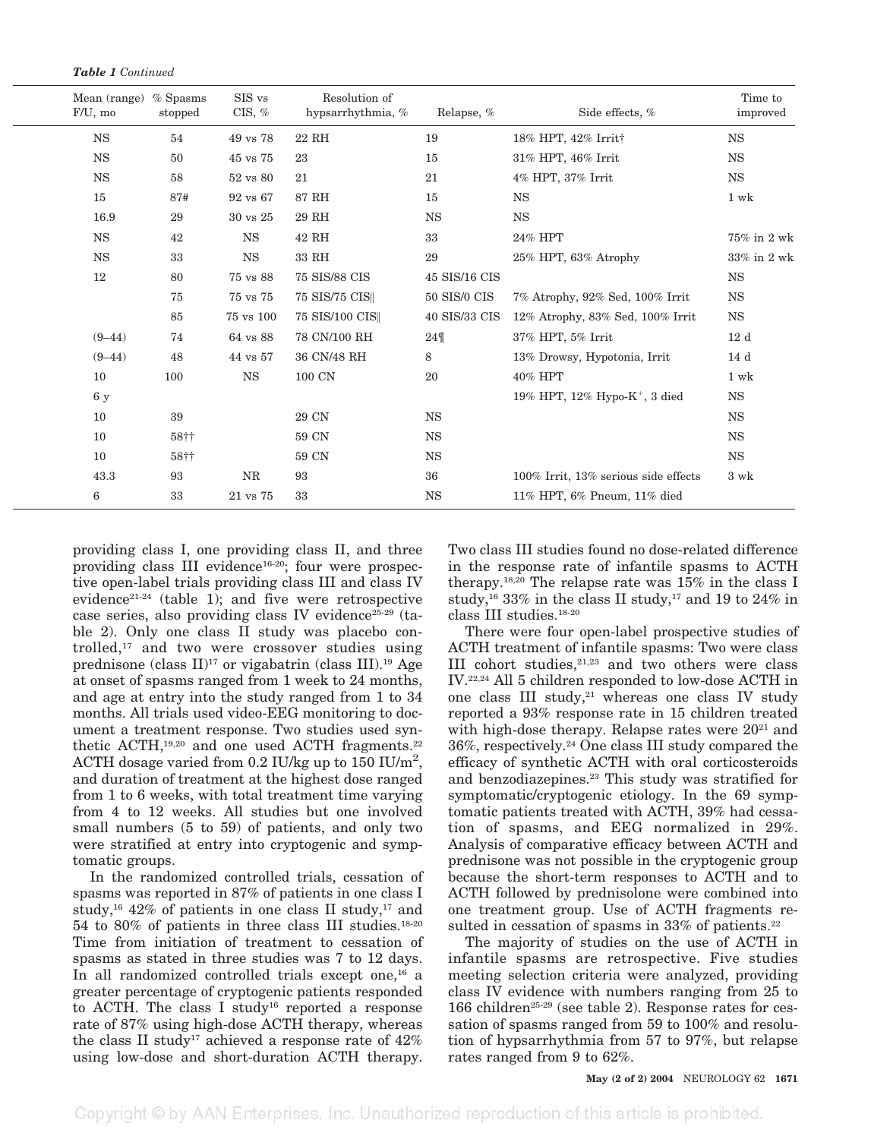|  | <b>Table 1 Continued</b> |
|--|--------------------------|
|--|--------------------------|

| Mean (range) % Spasms<br>$F/U$ , mo | stopped  | SIS vs<br>CIS, $%$ | Resolution of<br>hypsarrhythmia, % | Relapse, %    | Side effects, %                              | Time to<br>improved |
|-------------------------------------|----------|--------------------|------------------------------------|---------------|----------------------------------------------|---------------------|
| <b>NS</b>                           | 54       | 49 vs 78           | 22 RH                              | 19            | 18% HPT, 42% Irrit+                          | <b>NS</b>           |
| <b>NS</b>                           | 50       | 45 vs 75           | 23                                 | 15            | 31% HPT, 46% Irrit                           | <b>NS</b>           |
| <b>NS</b>                           | 58       | 52 vs 80           | 21                                 | 21            | 4% HPT, 37% Irrit                            | <b>NS</b>           |
| 15                                  | 87#      | 92 vs 67           | <b>87 RH</b>                       | 15            | <b>NS</b>                                    | $1$ wk              |
| 16.9                                | 29       | 30 vs 25           | 29 RH                              | <b>NS</b>     | <b>NS</b>                                    |                     |
| <b>NS</b>                           | 42       | <b>NS</b>          | 42 RH                              | 33            | 24% HPT                                      | 75% in 2 wk         |
| <b>NS</b>                           | 33       | <b>NS</b>          | 33 RH                              | 29            | 25% HPT, 63% Atrophy                         | 33% in 2 wk         |
| 12                                  | 80       | 75 vs 88           | 75 SIS/88 CIS                      | 45 SIS/16 CIS |                                              | <b>NS</b>           |
|                                     | 75       | 75 vs 75           | 75 SIS/75 CIS                      | 50 SIS/0 CIS  | 7% Atrophy, 92% Sed, 100% Irrit              | $_{\rm NS}$         |
|                                     | 85       | 75 vs 100          | 75 SIS/100 CIS                     | 40 SIS/33 CIS | $12\%$ Atrophy, 83% Sed, 100% Irrit          | <b>NS</b>           |
| $(9 - 44)$                          | 74       | 64 vs 88           | 78 CN/100 RH                       | $24$ ¶        | 37% HPT, 5% Irrit                            | 12d                 |
| $(9 - 44)$                          | 48       | 44 vs 57           | 36 CN/48 RH                        | 8             | 13% Drowsy, Hypotonia, Irrit                 | 14 d                |
| 10                                  | 100      | <b>NS</b>          | 100 CN                             | 20            | 40% HPT                                      | 1 wk                |
| 6y                                  |          |                    |                                    |               | 19% HPT, $12\%$ Hypo-K <sup>+</sup> , 3 died | <b>NS</b>           |
| 10                                  | 39       |                    | 29 CN                              | <b>NS</b>     |                                              | <b>NS</b>           |
| 10                                  | 58††     |                    | 59 CN                              | <b>NS</b>     |                                              | <b>NS</b>           |
| 10                                  | $58 + 1$ |                    | 59 CN                              | <b>NS</b>     |                                              | $_{\rm NS}$         |
| 43.3                                | 93       | NR                 | 93                                 | 36            | 100% Irrit, 13% serious side effects         | 3 wk                |
| 6                                   | 33       | 21 vs 75           | 33                                 | <b>NS</b>     | 11% HPT, 6% Pneum, 11% died                  |                     |

providing class I, one providing class II, and three providing class III evidence16-20; four were prospective open-label trials providing class III and class IV evidence<sup>21-24</sup> (table 1); and five were retrospective case series, also providing class IV evidence25-29 (table 2). Only one class II study was placebo controlled,17 and two were crossover studies using prednisone (class II)17 or vigabatrin (class III).19 Age at onset of spasms ranged from 1 week to 24 months, and age at entry into the study ranged from 1 to 34 months. All trials used video-EEG monitoring to document a treatment response. Two studies used synthetic ACTH,19,20 and one used ACTH fragments.22 ACTH dosage varied from 0.2 IU/kg up to  $150$  IU/m<sup>2</sup>, and duration of treatment at the highest dose ranged from 1 to 6 weeks, with total treatment time varying from 4 to 12 weeks. All studies but one involved small numbers (5 to 59) of patients, and only two were stratified at entry into cryptogenic and symptomatic groups.

In the randomized controlled trials, cessation of spasms was reported in 87% of patients in one class I study,<sup>16</sup> 42% of patients in one class II study,<sup>17</sup> and 54 to 80% of patients in three class III studies.18-20 Time from initiation of treatment to cessation of spasms as stated in three studies was 7 to 12 days. In all randomized controlled trials except one,<sup>16</sup> a greater percentage of cryptogenic patients responded to ACTH. The class I study<sup>16</sup> reported a response rate of 87% using high-dose ACTH therapy, whereas the class II study<sup>17</sup> achieved a response rate of  $42\%$ using low-dose and short-duration ACTH therapy.

Two class III studies found no dose-related difference in the response rate of infantile spasms to ACTH therapy.<sup>18,20</sup> The relapse rate was  $15\%$  in the class I study,<sup>16</sup> 33% in the class II study,<sup>17</sup> and 19 to 24% in class III studies.18-20

There were four open-label prospective studies of ACTH treatment of infantile spasms: Two were class III cohort studies,21,23 and two others were class IV.22,24 All 5 children responded to low-dose ACTH in one class III study,<sup>21</sup> whereas one class IV study reported a 93% response rate in 15 children treated with high-dose therapy. Relapse rates were  $20^{21}$  and 36%, respectively.24 One class III study compared the efficacy of synthetic ACTH with oral corticosteroids and benzodiazepines.<sup>23</sup> This study was stratified for symptomatic/cryptogenic etiology. In the 69 symptomatic patients treated with ACTH, 39% had cessation of spasms, and EEG normalized in 29%. Analysis of comparative efficacy between ACTH and prednisone was not possible in the cryptogenic group because the short-term responses to ACTH and to ACTH followed by prednisolone were combined into one treatment group. Use of ACTH fragments resulted in cessation of spasms in 33% of patients.<sup>22</sup>

The majority of studies on the use of ACTH in infantile spasms are retrospective. Five studies meeting selection criteria were analyzed, providing class IV evidence with numbers ranging from 25 to 166 children<sup>25-29</sup> (see table 2). Response rates for cessation of spasms ranged from 59 to 100% and resolution of hypsarrhythmia from 57 to 97%, but relapse rates ranged from 9 to 62%.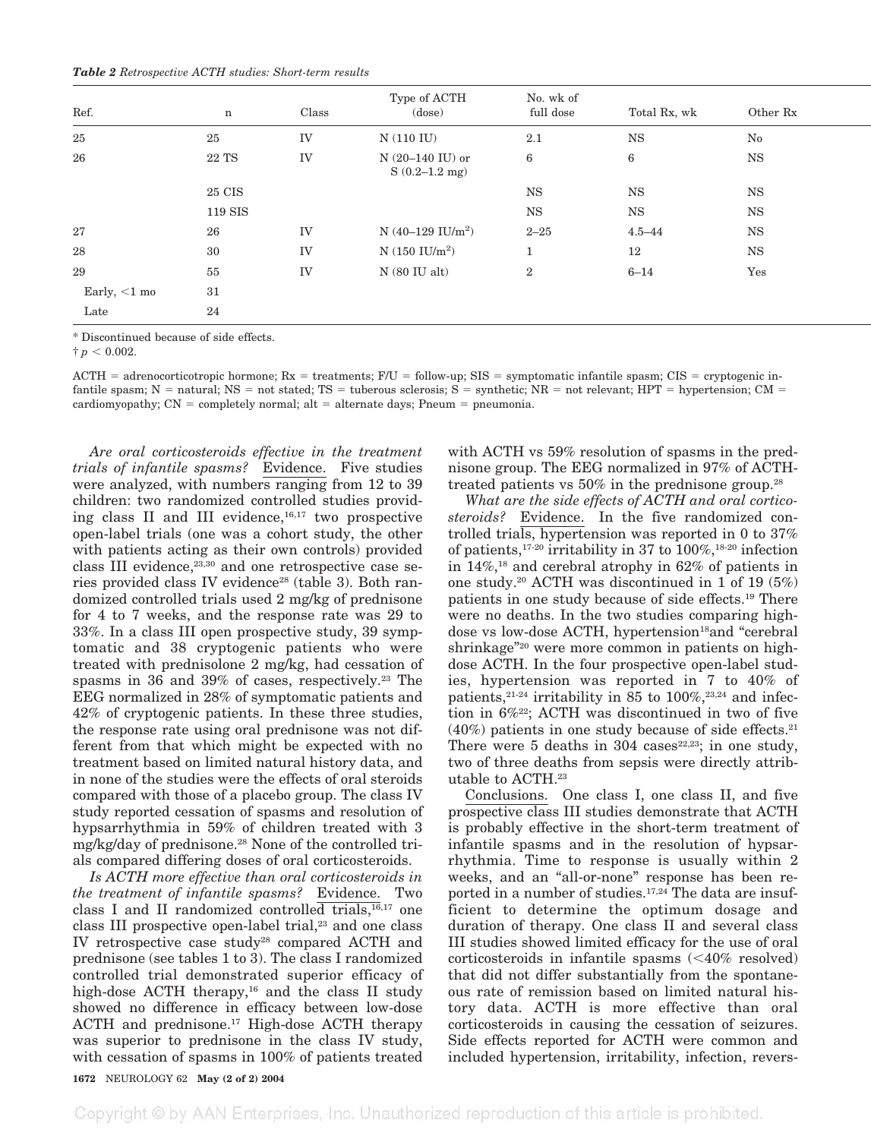| <b>Table 2</b> Retrospective ACTH studies: Short-term results |  |
|---------------------------------------------------------------|--|
|---------------------------------------------------------------|--|

| Ref.            | $\mathbf n$ | Class | Type of ACTH<br>(dose)              | No. wk of<br>full dose | Total Rx, wk | Other Rx  |
|-----------------|-------------|-------|-------------------------------------|------------------------|--------------|-----------|
| 25              | 25          | IV    | N(110 IU)                           | 2.1                    | <b>NS</b>    | $\rm No$  |
| 26              | 22 TS       | IV    | N (20-140 IU) or<br>$S(0.2-1.2$ mg) | $\,6\,$                | $\,6$        | <b>NS</b> |
|                 | 25 CIS      |       |                                     | <b>NS</b>              | <b>NS</b>    | <b>NS</b> |
|                 | 119 SIS     |       |                                     | <b>NS</b>              | <b>NS</b>    | <b>NS</b> |
| 27              | 26          | IV    | N $(40-129 \text{ IU/m}^2)$         | $2 - 25$               | $4.5 - 44$   | <b>NS</b> |
| 28              | 30          | IV    | N(150 IU/m <sup>2</sup> )           | $\mathbf{1}$           | 12           | <b>NS</b> |
| 29              | 55          | IV    | N(80 IU alt)                        | $\overline{2}$         | $6 - 14$     | Yes       |
| Early, $<$ 1 mo | 31          |       |                                     |                        |              |           |
| Late            | 24          |       |                                     |                        |              |           |

\* Discontinued because of side effects.

 $\dagger$   $p < 0.002$ .

 $ACTH = adrenocorticotropic hormone; Rx = treatments; F/U = follow-up; SIS = symptomatic infantile spasm; CIS = cryptogenic in$ fantile spasm; N = natural; NS = not stated; TS = tuberous sclerosis; S = synthetic; NR = not relevant; HPT = hypertension; CM = cardiomyopathy;  $CN =$  completely normal; alt  $=$  alternate days; Pneum  $=$  pneumonia.

*Are oral corticosteroids effective in the treatment trials of infantile spasms?* Evidence. Five studies were analyzed, with numbers ranging from 12 to 39 children: two randomized controlled studies providing class II and III evidence, $16,17$  two prospective open-label trials (one was a cohort study, the other with patients acting as their own controls) provided class III evidence,<sup>23,30</sup> and one retrospective case series provided class IV evidence<sup>28</sup> (table 3). Both randomized controlled trials used 2 mg/kg of prednisone for 4 to 7 weeks, and the response rate was 29 to 33%. In a class III open prospective study, 39 symptomatic and 38 cryptogenic patients who were treated with prednisolone 2 mg/kg, had cessation of spasms in 36 and 39% of cases, respectively.<sup>23</sup> The EEG normalized in 28% of symptomatic patients and 42% of cryptogenic patients. In these three studies, the response rate using oral prednisone was not different from that which might be expected with no treatment based on limited natural history data, and in none of the studies were the effects of oral steroids compared with those of a placebo group. The class IV study reported cessation of spasms and resolution of hypsarrhythmia in 59% of children treated with 3 mg/kg/day of prednisone.28 None of the controlled trials compared differing doses of oral corticosteroids.

*Is ACTH more effective than oral corticosteroids in the treatment of infantile spasms?* Evidence. Two class I and II randomized controlled trials,<sup>16,17</sup> one class III prospective open-label trial,<sup>23</sup> and one class IV retrospective case study28 compared ACTH and prednisone (see tables 1 to 3). The class I randomized controlled trial demonstrated superior efficacy of high-dose ACTH therapy,<sup>16</sup> and the class II study showed no difference in efficacy between low-dose ACTH and prednisone.<sup>17</sup> High-dose ACTH therapy was superior to prednisone in the class IV study, with cessation of spasms in 100% of patients treated with ACTH vs 59% resolution of spasms in the prednisone group. The EEG normalized in 97% of ACTHtreated patients vs  $50\%$  in the prednisone group.<sup>28</sup>

*What are the side effects of ACTH and oral corticosteroids?* Evidence. In the five randomized controlled trials, hypertension was reported in 0 to 37% of patients,17-20 irritability in 37 to 100%,18-20 infection in  $14\%$ ,<sup>18</sup> and cerebral atrophy in 62% of patients in one study.20 ACTH was discontinued in 1 of 19 (5%) patients in one study because of side effects.19 There were no deaths. In the two studies comparing highdose vs low-dose ACTH, hypertension<sup>18</sup> and "cerebral" shrinkage"<sup>20</sup> were more common in patients on highdose ACTH. In the four prospective open-label studies, hypertension was reported in 7 to 40% of patients,  $21-24$  irritability in 85 to 100%,  $23,24$  and infection in 6%22; ACTH was discontinued in two of five  $(40\%)$  patients in one study because of side effects.<sup>21</sup> There were 5 deaths in  $304 \text{ cases}^{22,23}$ ; in one study, two of three deaths from sepsis were directly attributable to ACTH.23

Conclusions. One class I, one class II, and five prospective class III studies demonstrate that ACTH is probably effective in the short-term treatment of infantile spasms and in the resolution of hypsarrhythmia. Time to response is usually within 2 weeks, and an "all-or-none" response has been reported in a number of studies.<sup>17,24</sup> The data are insufficient to determine the optimum dosage and duration of therapy. One class II and several class III studies showed limited efficacy for the use of oral  $\text{corticosteroids}$  in infantile spasms ( $\leq 40\%$  resolved) that did not differ substantially from the spontaneous rate of remission based on limited natural history data. ACTH is more effective than oral corticosteroids in causing the cessation of seizures. Side effects reported for ACTH were common and included hypertension, irritability, infection, revers-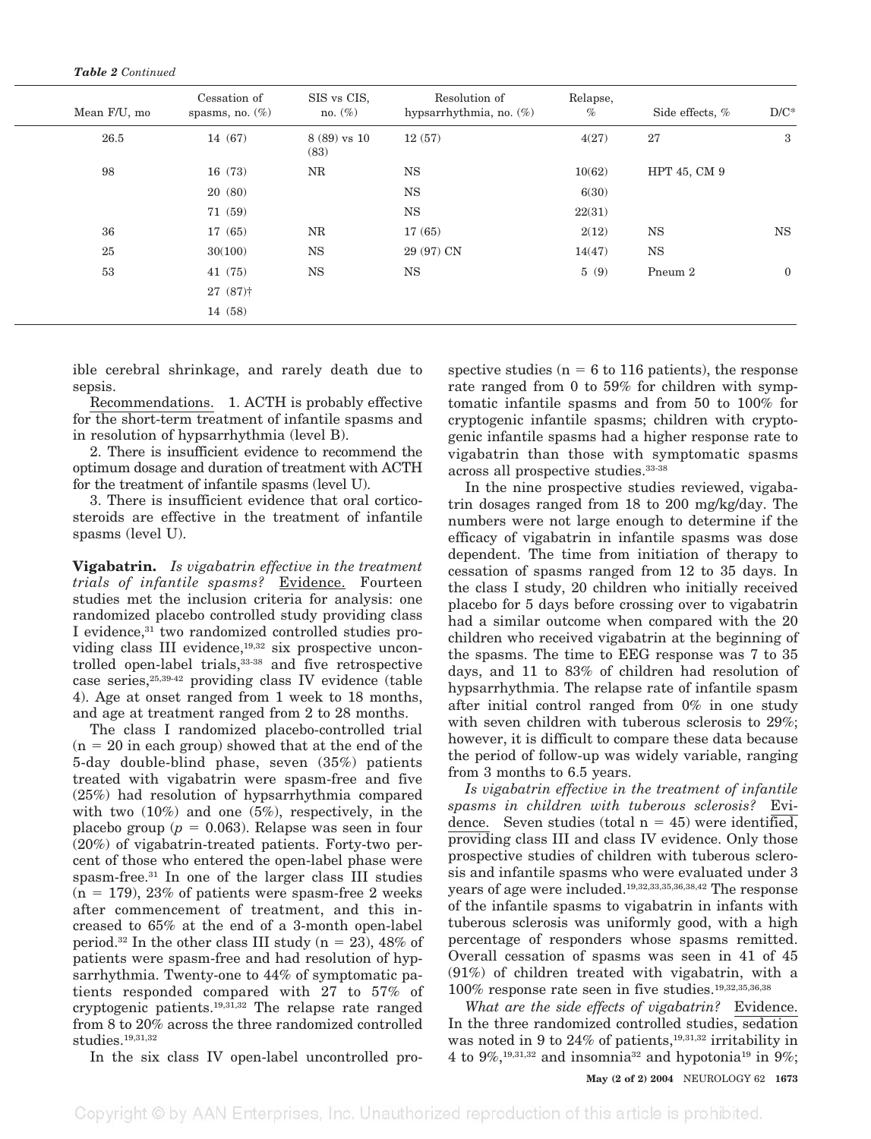*Table 2 Continued*

| Mean F/U, mo | Cessation of<br>spasms, no. $(\%)$ | SIS vs CIS,<br>no. $(\%)$ | Resolution of<br>hypsarrhythmia, no. $(\%)$ | Relapse,<br>$\%$ | Side effects, % | $D/C^*$        |
|--------------|------------------------------------|---------------------------|---------------------------------------------|------------------|-----------------|----------------|
| 26.5         | 14 (67)                            | 8 (89) vs 10<br>(83)      | 12(57)                                      | 4(27)            | 27              | 3              |
| 98           | 16(73)                             | NR                        | $_{\rm NS}$                                 | 10(62)           | HPT 45, CM 9    |                |
|              | 20 (80)                            |                           | <b>NS</b>                                   | 6(30)            |                 |                |
|              | 71(59)                             |                           | <b>NS</b>                                   | 22(31)           |                 |                |
| 36           | 17 (65)                            | NR                        | 17(65)                                      | 2(12)            | <b>NS</b>       | <b>NS</b>      |
| 25           | 30(100)                            | <b>NS</b>                 | 29 (97) CN                                  | 14(47)           | <b>NS</b>       |                |
| 53           | 41 (75)                            | <b>NS</b>                 | <b>NS</b>                                   | 5(9)             | Pneum 2         | $\overline{0}$ |
|              | $27(87)$ †                         |                           |                                             |                  |                 |                |
|              | 14 (58)                            |                           |                                             |                  |                 |                |

ible cerebral shrinkage, and rarely death due to sepsis.

Recommendations. 1. ACTH is probably effective for the short-term treatment of infantile spasms and in resolution of hypsarrhythmia (level B).

2. There is insufficient evidence to recommend the optimum dosage and duration of treatment with ACTH for the treatment of infantile spasms (level U).

3. There is insufficient evidence that oral corticosteroids are effective in the treatment of infantile spasms (level U).

**Vigabatrin.** *Is vigabatrin effective in the treatment trials of infantile spasms?* Evidence. Fourteen studies met the inclusion criteria for analysis: one randomized placebo controlled study providing class I evidence,<sup>31</sup> two randomized controlled studies providing class III evidence,<sup>19,32</sup> six prospective uncontrolled open-label trials,33-38 and five retrospective case series, $25,39-42$  providing class IV evidence (table 4). Age at onset ranged from 1 week to 18 months, and age at treatment ranged from 2 to 28 months.

The class I randomized placebo-controlled trial  $(n = 20$  in each group) showed that at the end of the 5-day double-blind phase, seven (35%) patients treated with vigabatrin were spasm-free and five (25%) had resolution of hypsarrhythmia compared with two (10%) and one (5%), respectively, in the placebo group ( $p = 0.063$ ). Relapse was seen in four (20%) of vigabatrin-treated patients. Forty-two percent of those who entered the open-label phase were spasm-free.<sup>31</sup> In one of the larger class III studies  $(n = 179)$ , 23% of patients were spasm-free 2 weeks after commencement of treatment, and this increased to 65% at the end of a 3-month open-label period.<sup>32</sup> In the other class III study ( $n = 23$ ), 48% of patients were spasm-free and had resolution of hypsarrhythmia. Twenty-one to 44% of symptomatic patients responded compared with 27 to 57% of cryptogenic patients.19,31,32 The relapse rate ranged from 8 to 20% across the three randomized controlled studies.19,31,32

In the six class IV open-label uncontrolled pro-

spective studies ( $n = 6$  to 116 patients), the response rate ranged from 0 to 59% for children with symptomatic infantile spasms and from 50 to 100% for cryptogenic infantile spasms; children with cryptogenic infantile spasms had a higher response rate to vigabatrin than those with symptomatic spasms across all prospective studies.33-38

In the nine prospective studies reviewed, vigabatrin dosages ranged from 18 to 200 mg/kg/day. The numbers were not large enough to determine if the efficacy of vigabatrin in infantile spasms was dose dependent. The time from initiation of therapy to cessation of spasms ranged from 12 to 35 days. In the class I study, 20 children who initially received placebo for 5 days before crossing over to vigabatrin had a similar outcome when compared with the 20 children who received vigabatrin at the beginning of the spasms. The time to EEG response was 7 to 35 days, and 11 to 83% of children had resolution of hypsarrhythmia. The relapse rate of infantile spasm after initial control ranged from 0% in one study with seven children with tuberous sclerosis to 29%; however, it is difficult to compare these data because the period of follow-up was widely variable, ranging from 3 months to 6.5 years.

*Is vigabatrin effective in the treatment of infantile spasms in children with tuberous sclerosis?* Evidence. Seven studies (total  $n = 45$ ) were identified, providing class III and class IV evidence. Only those prospective studies of children with tuberous sclerosis and infantile spasms who were evaluated under 3 years of age were included.19,32,33,35,36,38,42 The response of the infantile spasms to vigabatrin in infants with tuberous sclerosis was uniformly good, with a high percentage of responders whose spasms remitted. Overall cessation of spasms was seen in 41 of 45 (91%) of children treated with vigabatrin, with a 100% response rate seen in five studies.19,32,35,36,38

*What are the side effects of vigabatrin?* Evidence. In the three randomized controlled studies, sedation was noted in 9 to  $24\%$  of patients,<sup>19,31,32</sup> irritability in 4 to 9%,<sup>19,31,32</sup> and insomnia<sup>32</sup> and hypotonia<sup>19</sup> in 9%;

**May (2 of 2) 2004** NEUROLOGY 62 **1673**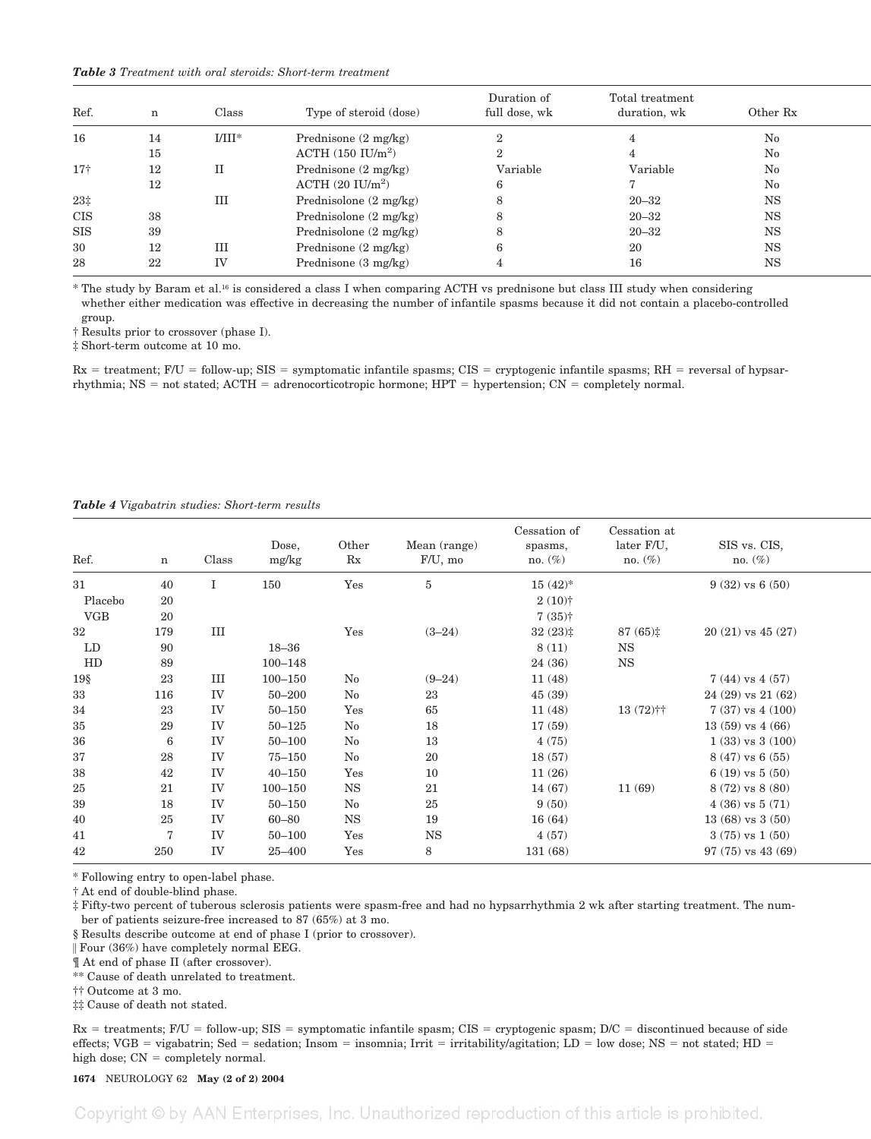#### *Table 3 Treatment with oral steroids: Short-term treatment*

| Ref.            | n  | Class       | Type of steroid (dose)                 | Duration of<br>full dose, wk | Total treatment<br>duration, wk | Other Rx  |
|-----------------|----|-------------|----------------------------------------|------------------------------|---------------------------------|-----------|
| 16              | 14 | $1/111*$    | Prednisone $(2 \text{ mg/kg})$         |                              | 4                               | $\rm No$  |
|                 | 15 |             | $\text{ACTH}$ (150 IU/m <sup>2</sup> ) | 2                            | 4                               | $\rm No$  |
| $17+$           | 12 | $_{\rm II}$ | Prednisone $(2 \text{ mg/kg})$         | Variable                     | Variable                        | $\rm No$  |
|                 | 12 |             | $\text{ACTH}$ (20 IU/m <sup>2</sup> )  | 6                            |                                 | $\rm No$  |
| 23 <sup>†</sup> |    | Ш           | Prednisolone $(2 \text{ mg/kg})$       |                              | $20 - 32$                       | <b>NS</b> |
| <b>CIS</b>      | 38 |             | Prednisolone $(2 \text{ mg/kg})$       |                              | $20 - 32$                       | <b>NS</b> |
| <b>SIS</b>      | 39 |             | Prednisolone $(2 \text{ mg/kg})$       | 8                            | $20 - 32$                       | <b>NS</b> |
| 30              | 12 | Ш           | Prednisone $(2 \text{ mg/kg})$         | 6                            | 20                              | <b>NS</b> |
| 28              | 22 | IV          | Prednisone $(3 \text{ mg/kg})$         |                              | 16                              | <b>NS</b> |

\* The study by Baram et al.16 is considered a class I when comparing ACTH vs prednisone but class III study when considering whether either medication was effective in decreasing the number of infantile spasms because it did not contain a placebo-controlled group.

† Results prior to crossover (phase I).

‡ Short-term outcome at 10 mo.

 $Rx = treatment; F/U = follow-up; SIS = symptomatic infantile spasms; CIS = cryptogenic infantile spasms; RH = reversal of hypersr$ rhythmia;  $NS = not$  stated;  $ACTH = adrenocorticotropic hormone$ ;  $HPT = hypertension$ ;  $CN = completely$  normal.

*Table 4 Vigabatrin studies: Short-term results*

| Ref.       | $\mathbf n$ | Class        | Dose,<br>mg/kg | Other<br>Rx | Mean (range)<br>$F/U$ , mo | Cessation of<br>spasms,<br>no. $(\%)$ | Cessation at<br>later F/U,<br>no. $(\%)$ | SIS vs. CIS,<br>no. $(\%)$ |
|------------|-------------|--------------|----------------|-------------|----------------------------|---------------------------------------|------------------------------------------|----------------------------|
| 31         | 40          | $\mathbf{I}$ | 150            | Yes         | 5                          | $15(42)^{*}$                          |                                          | $9(32)$ vs 6 (50)          |
| Placebo    | 20          |              |                |             |                            | $2(10)$ †                             |                                          |                            |
| <b>VGB</b> | 20          |              |                |             |                            | $7(35)$ <sup>+</sup>                  |                                          |                            |
| 32         | 179         | III          |                | Yes         | $(3-24)$                   | 32(23)                                | 87(65)                                   | $20(21)$ vs $45(27)$       |
| LD         | 90          |              | $18 - 36$      |             |                            | 8(11)                                 | <b>NS</b>                                |                            |
| HD         | 89          |              | $100 - 148$    |             |                            | 24(36)                                | <b>NS</b>                                |                            |
| $19\$      | 23          | Ш            | $100 - 150$    | $\rm No$    | $(9-24)$                   | 11(48)                                |                                          | $7(44)$ vs $4(57)$         |
| 33         | 116         | IV           | $50 - 200$     | No          | 23                         | 45(39)                                |                                          | $24(29)$ vs $21(62)$       |
| 34         | 23          | IV           | $50 - 150$     | Yes         | 65                         | 11(48)                                | $13(72)$ ††                              | $7(37)$ vs $4(100)$        |
| 35         | 29          | IV           | $50 - 125$     | $\rm No$    | 18                         | 17(59)                                |                                          | $13(59)$ vs $4(66)$        |
| 36         | 6           | IV           | $50 - 100$     | No          | 13                         | 4(75)                                 |                                          | $1(33)$ vs $3(100)$        |
| 37         | 28          | IV           | $75 - 150$     | No          | 20                         | 18(57)                                |                                          | $8(47)$ vs 6 $(55)$        |
| 38         | 42          | IV           | $40 - 150$     | Yes         | 10                         | 11(26)                                |                                          | $6(19)$ vs $5(50)$         |
| 25         | 21          | IV           | $100 - 150$    | NS.         | 21                         | 14(67)                                | 11(69)                                   | $8(72)$ vs $8(80)$         |
| 39         | 18          | IV           | $50 - 150$     | No          | 25                         | 9(50)                                 |                                          | $4(36)$ vs $5(71)$         |
| 40         | 25          | IV           | $60 - 80$      | <b>NS</b>   | 19                         | 16(64)                                |                                          | $13(68)$ vs $3(50)$        |
| 41         | 7           | IV           | $50 - 100$     | Yes         | <b>NS</b>                  | 4(57)                                 |                                          | $3(75)$ vs $1(50)$         |
| 42         | 250         | IV           | $25 - 400$     | Yes         | 8                          | 131 (68)                              |                                          | $97(75)$ vs $43(69)$       |

\* Following entry to open-label phase.

† At end of double-blind phase.

‡ Fifty-two percent of tuberous sclerosis patients were spasm-free and had no hypsarrhythmia 2 wk after starting treatment. The number of patients seizure-free increased to 87 (65%) at 3 mo.

§ Results describe outcome at end of phase I (prior to crossover).

Four (36%) have completely normal EEG.

¶ At end of phase II (after crossover).

\*\* Cause of death unrelated to treatment.

†† Outcome at 3 mo.

‡‡ Cause of death not stated.

 $Rx =$  treatments;  $F/U =$  follow-up; SIS = symptomatic infantile spasm; CIS = cryptogenic spasm;  $D/C =$  discontinued because of side effects; VGB = vigabatrin; Sed = sedation; Insom = insomnia; Irrit = irritability/agitation; LD = low dose; NS = not stated; HD = high dose;  $CN =$  completely normal.

#### **1674** NEUROLOGY 62 **May (2 of 2) 2004**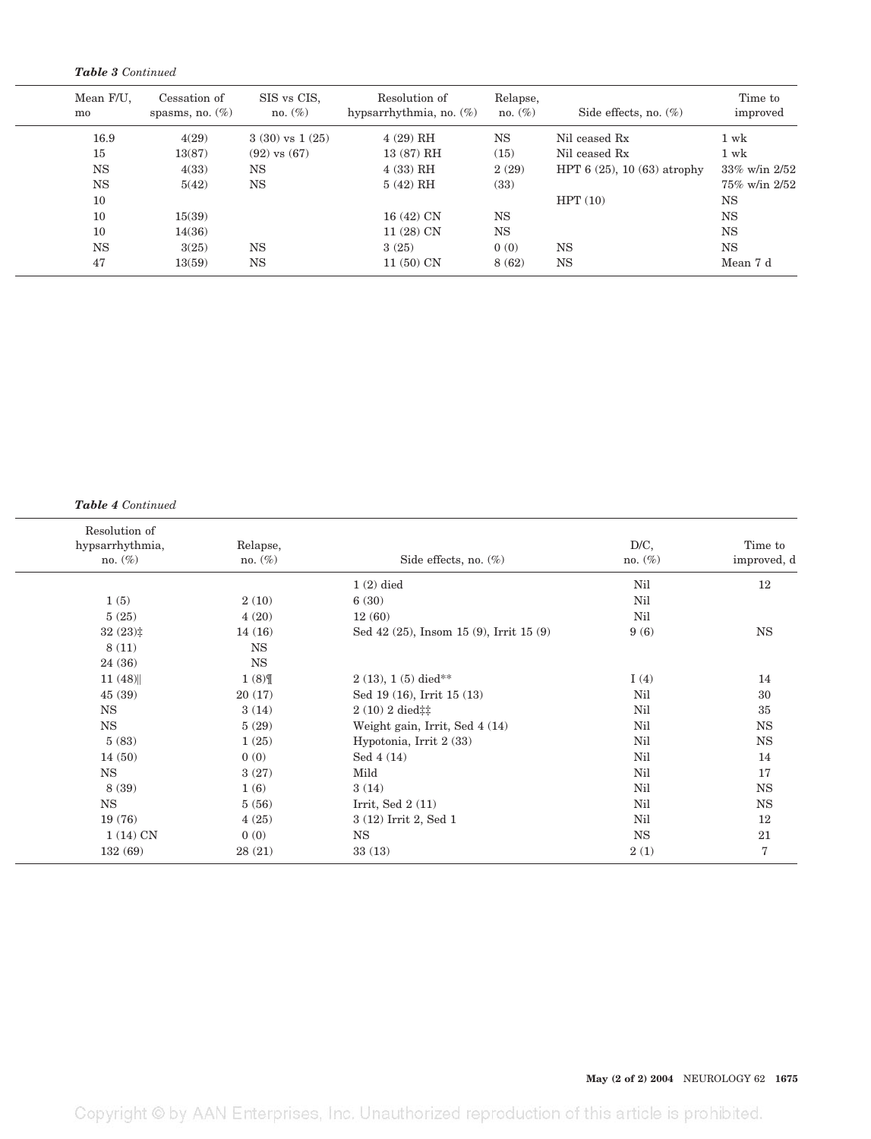*Table 3 Continued*

| Mean F/U,<br>mo | Cessation of<br>spasms, no. $(\%)$ | SIS vs CIS,<br>no. $(\%)$ | Resolution of<br>hypsarrhythmia, no. $(\%)$ | Relapse,<br>no. $(\%)$ | Side effects, no. $(\%)$        | Time to<br>improved |
|-----------------|------------------------------------|---------------------------|---------------------------------------------|------------------------|---------------------------------|---------------------|
| 16.9            | 4(29)                              | $3(30)$ vs $1(25)$        | $4(29)$ RH                                  | <b>NS</b>              | Nil ceased Rx                   | $1$ wk              |
| 15              | 13(87)                             | $(92)$ vs $(67)$          | 13 (87) RH                                  | (15)                   | Nil ceased Rx                   | $1$ wk              |
| <b>NS</b>       | 4(33)                              | NS                        | $4(33)$ RH                                  | 2(29)                  | HPT $6(25)$ , 10 $(63)$ atrophy | $33\%$ w/in $2/52$  |
| <b>NS</b>       | 5(42)                              | NS                        | $5(42)$ RH                                  | (33)                   |                                 | $75\%$ w/in $2/52$  |
| 10              |                                    |                           |                                             |                        | HPT(10)                         | NS                  |
| 10              | 15(39)                             |                           | $16(42)$ CN                                 | <b>NS</b>              |                                 | <b>NS</b>           |
| 10              | 14(36)                             |                           | $11(28)$ CN                                 | $_{\rm NS}$            |                                 | <b>NS</b>           |
| <b>NS</b>       | 3(25)                              | NS                        | 3(25)                                       | 0(0)                   | <b>NS</b>                       | <b>NS</b>           |
| 47              | 13(59)                             | NS                        | $11(50)$ CN                                 | 8(62)                  | NS                              | Mean 7 d            |

*Table 4 Continued*

| Resolution of<br>hypsarrhythmia,<br>no. $(\%)$ | Relapse,<br>no. $(\%)$ | Side effects, no. $(\%)$                | $D/C$ ,<br>no. $(\%)$ | Time to<br>improved, d |
|------------------------------------------------|------------------------|-----------------------------------------|-----------------------|------------------------|
|                                                |                        | $1(2)$ died                             | Nil                   | 12                     |
| 1(5)                                           | 2(10)                  | 6(30)                                   | Nil                   |                        |
| 5(25)                                          | 4(20)                  | 12(60)                                  | Nil                   |                        |
| 32(23)                                         | 14(16)                 | Sed 42 (25), Insom 15 (9), Irrit 15 (9) | 9(6)                  | $_{\rm NS}$            |
| 8(11)                                          | <b>NS</b>              |                                         |                       |                        |
| 24 (36)                                        | <b>NS</b>              |                                         |                       |                        |
| 11(48)                                         | $1(8)$ $[$             | $2(13), 1(5)$ died**                    | I(4)                  | 14                     |
| 45 (39)                                        | 20(17)                 | Sed 19 (16), Irrit 15 (13)              | Nil                   | 30                     |
| <b>NS</b>                                      | 3(14)                  | $2(10)$ 2 died $\ddagger$ :             | Nil                   | 35                     |
| $_{\rm NS}$                                    | 5(29)                  | Weight gain, Irrit, Sed 4 (14)          | Nil                   | $_{\rm NS}$            |
| 5(83)                                          | 1(25)                  | Hypotonia, Irrit 2 (33)                 | Nil                   | <b>NS</b>              |
| 14(50)                                         | 0(0)                   | Sed 4 (14)                              | Nil                   | 14                     |
| <b>NS</b>                                      | 3(27)                  | Mild                                    | Nil                   | 17                     |
| 8(39)                                          | 1(6)                   | 3(14)                                   | Nil                   | <b>NS</b>              |
| <b>NS</b>                                      | 5(56)                  | Irrit, Sed $2(11)$                      | Nil                   | <b>NS</b>              |
| 19(76)                                         | 4(25)                  | 3 (12) Irrit 2, Sed 1                   | Nil                   | 12                     |
| $1(14)$ CN                                     | 0(0)                   | NS                                      | <b>NS</b>             | 21                     |
| 132 (69)                                       | 28(21)                 | 33(13)                                  | 2(1)                  | 7                      |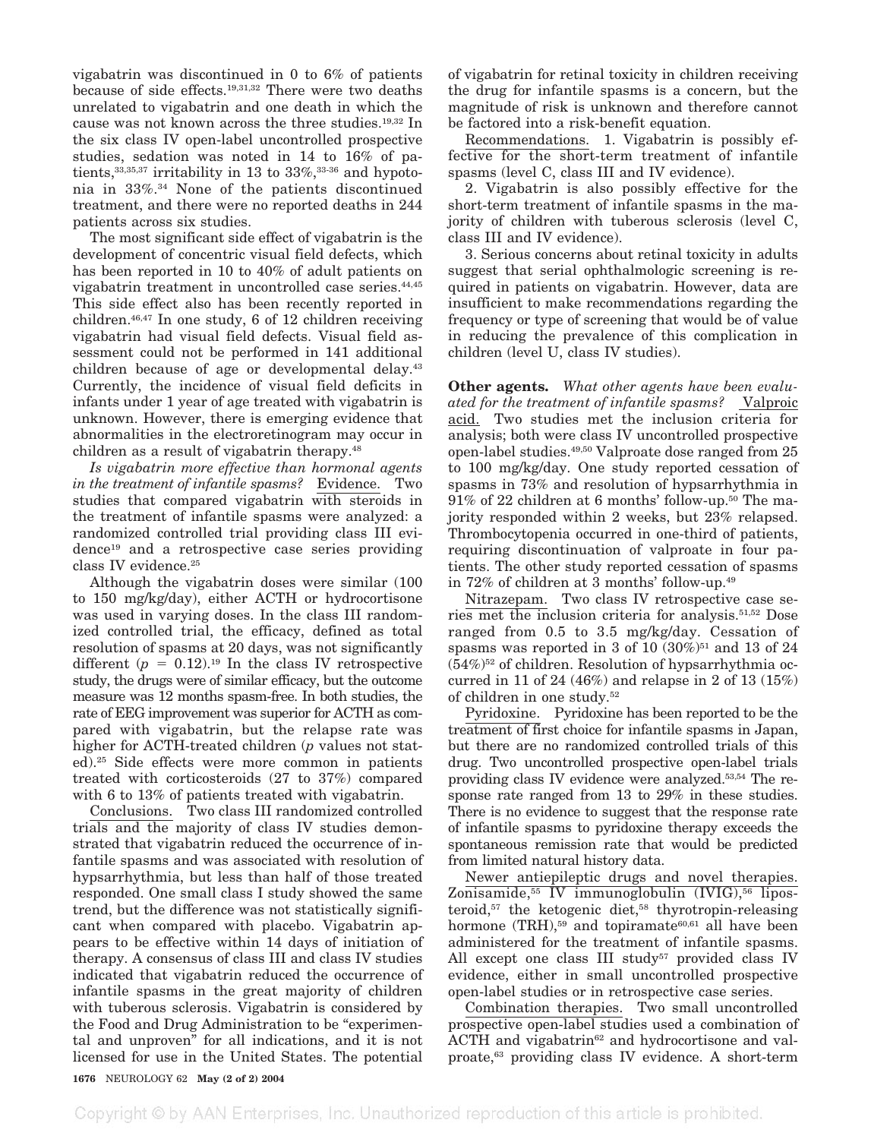vigabatrin was discontinued in 0 to 6% of patients because of side effects.19,31,32 There were two deaths unrelated to vigabatrin and one death in which the cause was not known across the three studies.19,32 In the six class IV open-label uncontrolled prospective studies, sedation was noted in 14 to 16% of patients,  $33,35,37$  irritability in 13 to  $33\%$ ,  $33-36$  and hypotonia in 33%.34 None of the patients discontinued treatment, and there were no reported deaths in 244 patients across six studies.

The most significant side effect of vigabatrin is the development of concentric visual field defects, which has been reported in 10 to 40% of adult patients on vigabatrin treatment in uncontrolled case series.44,45 This side effect also has been recently reported in children.46,47 In one study, 6 of 12 children receiving vigabatrin had visual field defects. Visual field assessment could not be performed in 141 additional children because of age or developmental delay.<sup>43</sup> Currently, the incidence of visual field deficits in infants under 1 year of age treated with vigabatrin is unknown. However, there is emerging evidence that abnormalities in the electroretinogram may occur in children as a result of vigabatrin therapy.48

*Is vigabatrin more effective than hormonal agents in the treatment of infantile spasms?* Evidence. Two studies that compared vigabatrin with steroids in the treatment of infantile spasms were analyzed: a randomized controlled trial providing class III evidence19 and a retrospective case series providing class IV evidence.25

Although the vigabatrin doses were similar (100 to 150 mg/kg/day), either ACTH or hydrocortisone was used in varying doses. In the class III randomized controlled trial, the efficacy, defined as total resolution of spasms at 20 days, was not significantly different  $(p = 0.12)$ .<sup>19</sup> In the class IV retrospective study, the drugs were of similar efficacy, but the outcome measure was 12 months spasm-free. In both studies, the rate of EEG improvement was superior for ACTH as compared with vigabatrin, but the relapse rate was higher for ACTH-treated children (*p* values not stated).25 Side effects were more common in patients treated with corticosteroids (27 to 37%) compared with 6 to 13% of patients treated with vigabatrin.

Conclusions. Two class III randomized controlled trials and the majority of class IV studies demonstrated that vigabatrin reduced the occurrence of infantile spasms and was associated with resolution of hypsarrhythmia, but less than half of those treated responded. One small class I study showed the same trend, but the difference was not statistically significant when compared with placebo. Vigabatrin appears to be effective within 14 days of initiation of therapy. A consensus of class III and class IV studies indicated that vigabatrin reduced the occurrence of infantile spasms in the great majority of children with tuberous sclerosis. Vigabatrin is considered by the Food and Drug Administration to be "experimental and unproven" for all indications, and it is not licensed for use in the United States. The potential

of vigabatrin for retinal toxicity in children receiving the drug for infantile spasms is a concern, but the magnitude of risk is unknown and therefore cannot be factored into a risk-benefit equation.

Recommendations. 1. Vigabatrin is possibly effective for the short-term treatment of infantile spasms (level C, class III and IV evidence).

2. Vigabatrin is also possibly effective for the short-term treatment of infantile spasms in the majority of children with tuberous sclerosis (level C, class III and IV evidence).

3. Serious concerns about retinal toxicity in adults suggest that serial ophthalmologic screening is required in patients on vigabatrin. However, data are insufficient to make recommendations regarding the frequency or type of screening that would be of value in reducing the prevalence of this complication in children (level U, class IV studies).

**Other agents.** *What other agents have been evaluated for the treatment of infantile spasms?* Valproic acid. Two studies met the inclusion criteria for analysis; both were class IV uncontrolled prospective open-label studies.49,50 Valproate dose ranged from 25 to 100 mg/kg/day. One study reported cessation of spasms in 73% and resolution of hypsarrhythmia in 91% of 22 children at 6 months' follow-up.50 The majority responded within 2 weeks, but 23% relapsed. Thrombocytopenia occurred in one-third of patients, requiring discontinuation of valproate in four patients. The other study reported cessation of spasms in 72% of children at 3 months' follow-up.49

Nitrazepam. Two class IV retrospective case series met the inclusion criteria for analysis.51,52 Dose ranged from 0.5 to 3.5 mg/kg/day. Cessation of spasms was reported in 3 of 10  $(30\%)^{51}$  and 13 of 24  $(54\%)$ <sup>52</sup> of children. Resolution of hypsarrhythmia occurred in 11 of 24  $(46%)$  and relapse in 2 of 13  $(15%)$ of children in one study.52

Pyridoxine. Pyridoxine has been reported to be the treatment of first choice for infantile spasms in Japan, but there are no randomized controlled trials of this drug. Two uncontrolled prospective open-label trials providing class IV evidence were analyzed.53,54 The response rate ranged from 13 to 29% in these studies. There is no evidence to suggest that the response rate of infantile spasms to pyridoxine therapy exceeds the spontaneous remission rate that would be predicted from limited natural history data.

Newer antiepileptic drugs and novel therapies. Zonisamide,<sup>55</sup> IV immunoglobulin (IVIG),<sup>56</sup> liposteroid,<sup>57</sup> the ketogenic diet,<sup>58</sup> thyrotropin-releasing hormone  $(TRH),<sup>59</sup>$  and topiramate<sup>60,61</sup> all have been administered for the treatment of infantile spasms. All except one class  $III$  study<sup>57</sup> provided class IV evidence, either in small uncontrolled prospective open-label studies or in retrospective case series.

Combination therapies. Two small uncontrolled prospective open-label studies used a combination of  $ACTH$  and vigabatrin<sup>62</sup> and hydrocortisone and valproate,63 providing class IV evidence. A short-term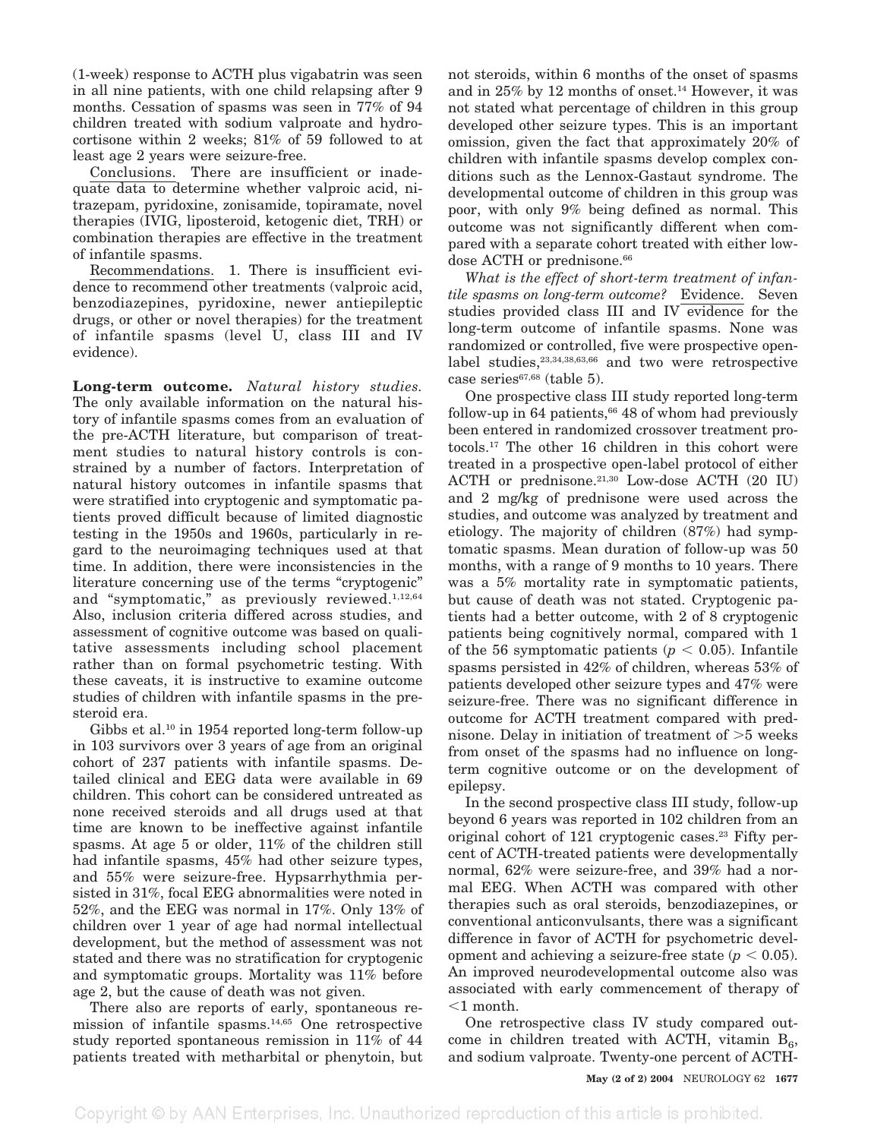(1-week) response to ACTH plus vigabatrin was seen in all nine patients, with one child relapsing after 9 months. Cessation of spasms was seen in 77% of 94 children treated with sodium valproate and hydrocortisone within 2 weeks; 81% of 59 followed to at least age 2 years were seizure-free.

Conclusions. There are insufficient or inadequate data to determine whether valproic acid, nitrazepam, pyridoxine, zonisamide, topiramate, novel therapies (IVIG, liposteroid, ketogenic diet, TRH) or combination therapies are effective in the treatment of infantile spasms.

Recommendations. 1. There is insufficient evidence to recommend other treatments (valproic acid, benzodiazepines, pyridoxine, newer antiepileptic drugs, or other or novel therapies) for the treatment of infantile spasms (level U, class III and IV evidence).

**Long-term outcome.** *Natural history studies.* The only available information on the natural history of infantile spasms comes from an evaluation of the pre-ACTH literature, but comparison of treatment studies to natural history controls is constrained by a number of factors. Interpretation of natural history outcomes in infantile spasms that were stratified into cryptogenic and symptomatic patients proved difficult because of limited diagnostic testing in the 1950s and 1960s, particularly in regard to the neuroimaging techniques used at that time. In addition, there were inconsistencies in the literature concerning use of the terms "cryptogenic" and "symptomatic," as previously reviewed.<sup>1,12,64</sup> Also, inclusion criteria differed across studies, and assessment of cognitive outcome was based on qualitative assessments including school placement rather than on formal psychometric testing. With these caveats, it is instructive to examine outcome studies of children with infantile spasms in the presteroid era.

Gibbs et al.<sup>10</sup> in 1954 reported long-term follow-up in 103 survivors over 3 years of age from an original cohort of 237 patients with infantile spasms. Detailed clinical and EEG data were available in 69 children. This cohort can be considered untreated as none received steroids and all drugs used at that time are known to be ineffective against infantile spasms. At age 5 or older, 11% of the children still had infantile spasms, 45% had other seizure types, and 55% were seizure-free. Hypsarrhythmia persisted in 31%, focal EEG abnormalities were noted in 52%, and the EEG was normal in 17%. Only 13% of children over 1 year of age had normal intellectual development, but the method of assessment was not stated and there was no stratification for cryptogenic and symptomatic groups. Mortality was 11% before age 2, but the cause of death was not given.

There also are reports of early, spontaneous remission of infantile spasms.14,65 One retrospective study reported spontaneous remission in 11% of 44 patients treated with metharbital or phenytoin, but not steroids, within 6 months of the onset of spasms and in 25% by 12 months of onset.14 However, it was not stated what percentage of children in this group developed other seizure types. This is an important omission, given the fact that approximately 20% of children with infantile spasms develop complex conditions such as the Lennox-Gastaut syndrome. The developmental outcome of children in this group was poor, with only 9% being defined as normal. This outcome was not significantly different when compared with a separate cohort treated with either lowdose ACTH or prednisone.<sup>66</sup>

*What is the effect of short-term treatment of infantile spasms on long-term outcome?* Evidence. Seven studies provided class III and IV evidence for the long-term outcome of infantile spasms. None was randomized or controlled, five were prospective openlabel studies,  $23,34,38,63,66$  and two were retrospective case series $67,68$  (table 5).

One prospective class III study reported long-term follow-up in 64 patients, $66$  48 of whom had previously been entered in randomized crossover treatment protocols.17 The other 16 children in this cohort were treated in a prospective open-label protocol of either ACTH or prednisone.21,30 Low-dose ACTH (20 IU) and 2 mg/kg of prednisone were used across the studies, and outcome was analyzed by treatment and etiology. The majority of children (87%) had symptomatic spasms. Mean duration of follow-up was 50 months, with a range of 9 months to 10 years. There was a 5% mortality rate in symptomatic patients, but cause of death was not stated. Cryptogenic patients had a better outcome, with 2 of 8 cryptogenic patients being cognitively normal, compared with 1 of the 56 symptomatic patients  $(p < 0.05)$ . Infantile spasms persisted in 42% of children, whereas 53% of patients developed other seizure types and 47% were seizure-free. There was no significant difference in outcome for ACTH treatment compared with prednisone. Delay in initiation of treatment of  $>5$  weeks from onset of the spasms had no influence on longterm cognitive outcome or on the development of epilepsy.

In the second prospective class III study, follow-up beyond 6 years was reported in 102 children from an original cohort of 121 cryptogenic cases.23 Fifty percent of ACTH-treated patients were developmentally normal, 62% were seizure-free, and 39% had a normal EEG. When ACTH was compared with other therapies such as oral steroids, benzodiazepines, or conventional anticonvulsants, there was a significant difference in favor of ACTH for psychometric development and achieving a seizure-free state ( $p < 0.05$ ). An improved neurodevelopmental outcome also was associated with early commencement of therapy of -1 month.

One retrospective class IV study compared outcome in children treated with ACTH, vitamin  $B_6$ , and sodium valproate. Twenty-one percent of ACTH-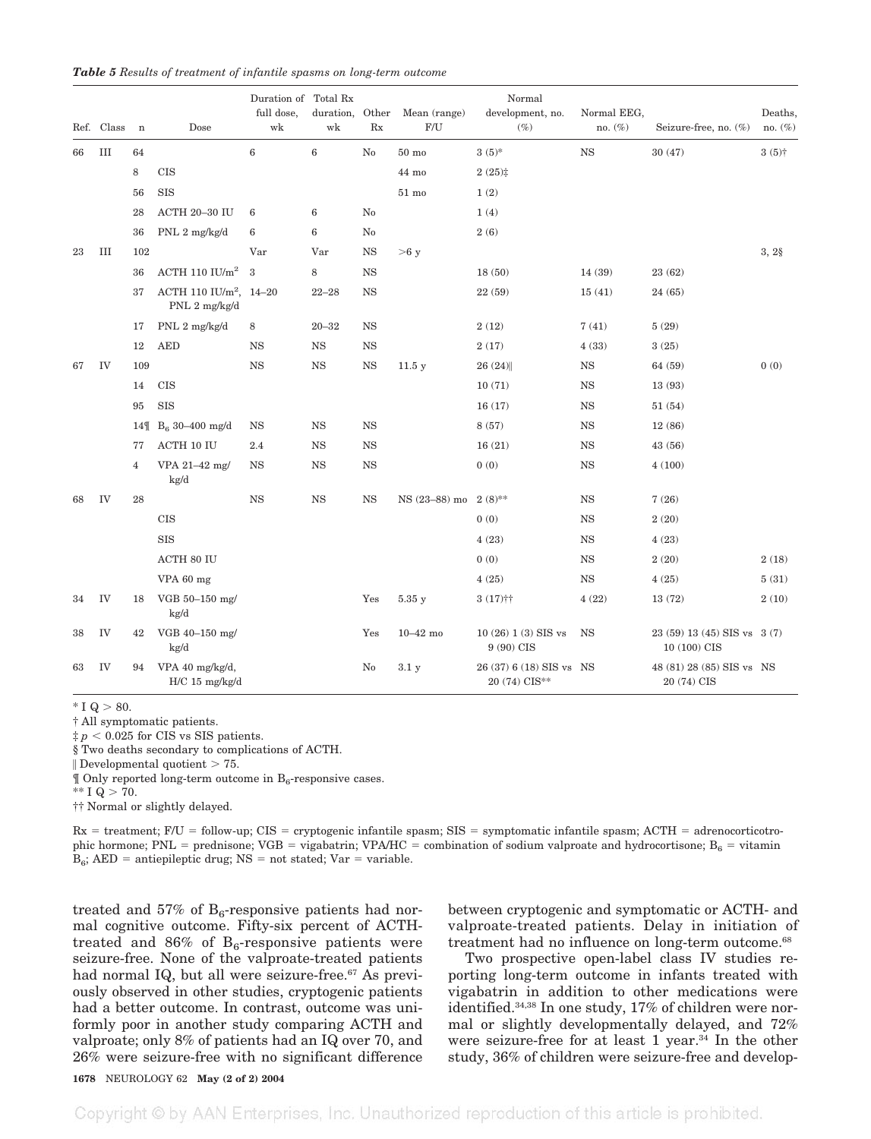|  |  |  |  | Table 5 Results of treatment of infantile spasms on long-term outcome |  |  |  |  |  |  |  |
|--|--|--|--|-----------------------------------------------------------------------|--|--|--|--|--|--|--|
|--|--|--|--|-----------------------------------------------------------------------|--|--|--|--|--|--|--|

|    | Ref. Class | $\,$ n | Dose                                       | Duration of Total Rx<br>full dose,<br>wk | duration,<br>wk | Other<br>Rx | Mean (range)<br>F/U | Normal<br>development, no.<br>$(\%)$                    | Normal EEG,<br>no. $(\%)$ | Seizure-free, no. (%)                        | Deaths,<br>no. $(\%)$ |
|----|------------|--------|--------------------------------------------|------------------------------------------|-----------------|-------------|---------------------|---------------------------------------------------------|---------------------------|----------------------------------------------|-----------------------|
| 66 | $\rm III$  | 64     |                                            | $\,6$                                    | $\,6$           | $\rm No$    | $50 \text{ mo}$     | $3(5)*$                                                 | $_{\rm NS}$               | 30(47)                                       | $3(5)$ †              |
|    |            | 8      | <b>CIS</b>                                 |                                          |                 |             | 44 mo               | $2(25)\ddagger$                                         |                           |                                              |                       |
|    |            | 56     | <b>SIS</b>                                 |                                          |                 |             | $51 \text{ mo}$     | 1(2)                                                    |                           |                                              |                       |
|    |            | 28     | ACTH 20-30 IU                              | 6                                        | 6               | No          |                     | 1(4)                                                    |                           |                                              |                       |
|    |            | 36     | PNL 2 mg/kg/d                              | 6                                        | $\,6$           | No          |                     | 2(6)                                                    |                           |                                              |                       |
| 23 | $\rm III$  | 102    |                                            | Var                                      | Var             | $_{\rm NS}$ | >6 y                |                                                         |                           |                                              | $3, 2\S$              |
|    |            | 36     | ACTH 110 $\rm{IU/m^2}$                     | $\,3$                                    | $\,$ 8 $\,$     | $_{\rm NS}$ |                     | 18(50)                                                  | 14 (39)                   | 23 (62)                                      |                       |
|    |            | 37     | ACTH 110 $IU/m^2$ , 14-20<br>PNL 2 mg/kg/d |                                          | $22 - 28$       | $_{\rm NS}$ |                     | 22(59)                                                  | 15(41)                    | 24(65)                                       |                       |
|    |            | 17     | $PNL$ 2 mg/kg/d                            | 8                                        | $20 - 32$       | NS          |                     | 2(12)                                                   | 7(41)                     | 5(29)                                        |                       |
|    |            | 12     | <b>AED</b>                                 | $_{\rm NS}$                              | $_{\rm NS}$     | $_{\rm NS}$ |                     | 2(17)                                                   | 4(33)                     | 3(25)                                        |                       |
| 67 | IV         | 109    |                                            | $_{\rm NS}$                              | $_{\rm NS}$     | $_{\rm NS}$ | 11.5y               | 26(24)                                                  | <b>NS</b>                 | 64 (59)                                      | 0(0)                  |
|    |            | 14     | <b>CIS</b>                                 |                                          |                 |             |                     | 10(71)                                                  | NS                        | 13(93)                                       |                       |
|    |            | 95     | <b>SIS</b>                                 |                                          |                 |             |                     | 16(17)                                                  | <b>NS</b>                 | 51(54)                                       |                       |
|    |            | 14     | $B_6$ 30–400 mg/d                          | NS                                       | $_{\rm NS}$     | $_{\rm NS}$ |                     | 8 (57)                                                  | <b>NS</b>                 | 12(86)                                       |                       |
|    |            | 77     | ACTH 10 IU                                 | 2.4                                      | $_{\rm NS}$     | $_{\rm NS}$ |                     | 16(21)                                                  | $_{\rm NS}$               | 43(56)                                       |                       |
|    |            | 4      | VPA 21-42 mg/<br>kg/d                      | <b>NS</b>                                | $_{\rm NS}$     | $_{\rm NS}$ |                     | 0(0)                                                    | $_{\rm NS}$               | 4(100)                                       |                       |
| 68 | IV         | 28     |                                            | $_{\rm NS}$                              | $_{\rm NS}$     | <b>NS</b>   | NS (23-88) mo       | $2(8)$ **                                               | <b>NS</b>                 | 7(26)                                        |                       |
|    |            |        | <b>CIS</b>                                 |                                          |                 |             |                     | 0(0)                                                    | <b>NS</b>                 | 2(20)                                        |                       |
|    |            |        | $_{\rm SIS}$                               |                                          |                 |             |                     | 4(23)                                                   | <b>NS</b>                 | 4(23)                                        |                       |
|    |            |        | ACTH 80 IU                                 |                                          |                 |             |                     | 0(0)                                                    | $_{\rm NS}$               | 2(20)                                        | 2(18)                 |
|    |            |        | VPA 60 mg                                  |                                          |                 |             |                     | 4(25)                                                   | $_{\rm NS}$               | 4(25)                                        | 5(31)                 |
| 34 | IV         | 18     | VGB 50-150 mg/<br>kg/d                     |                                          |                 | Yes         | 5.35 y              | $3(17)$ ††                                              | 4(22)                     | 13 (72)                                      | 2(10)                 |
| 38 | IV         | 42     | VGB 40-150 mg/<br>kg/d                     |                                          |                 | Yes         | $10 - 42$ mo        | $10(26) 1(3)$ SIS vs<br>9 (90) CIS                      | <b>NS</b>                 | 23 (59) 13 (45) SIS vs 3 (7)<br>10 (100) CIS |                       |
| 63 | IV         | 94     | VPA 40 mg/kg/d,<br>$H/C$ 15 mg/kg/d        |                                          |                 | No          | 3.1 y               | 26 (37) 6 (18) SIS vs NS<br>$20~(74)~\mathrm{CIS^{**}}$ |                           | 48 (81) 28 (85) SIS vs NS<br>20 (74) CIS     |                       |

 $*$  I Q  $> 80$ .

† All symptomatic patients.

 $\ddagger p < 0.025$  for CIS vs SIS patients.

§ Two deaths secondary to complications of ACTH.

 $\parallel$  Developmental quotient  $>$  75.

 $\parallel$  Only reported long-term outcome in B<sub>6</sub>-responsive cases.

\*\* I  $Q > 70$ .

†† Normal or slightly delayed.

 $Rx = treatment; F/U = follow-up; CIS = cryptogenic infantile spasm; SIS = symptomatic infantile spasm; ACTH = adrenocorticotro$ phic hormone; PNL = prednisone; VGB = vigabatrin; VPA/HC = combination of sodium valproate and hydrocortisone;  $B_6$  = vitamin  $B<sub>6</sub>$ ; AED = antiepileptic drug; NS = not stated; Var = variable.

treated and 57% of  $B_6$ -responsive patients had normal cognitive outcome. Fifty-six percent of ACTHtreated and 86% of  $B_6$ -responsive patients were seizure-free. None of the valproate-treated patients had normal IQ, but all were seizure-free.<sup>67</sup> As previously observed in other studies, cryptogenic patients had a better outcome. In contrast, outcome was uniformly poor in another study comparing ACTH and valproate; only 8% of patients had an IQ over 70, and 26% were seizure-free with no significant difference

between cryptogenic and symptomatic or ACTH- and valproate-treated patients. Delay in initiation of treatment had no influence on long-term outcome.<sup>68</sup>

Two prospective open-label class IV studies reporting long-term outcome in infants treated with vigabatrin in addition to other medications were identified.34,38 In one study, 17% of children were normal or slightly developmentally delayed, and 72% were seizure-free for at least 1 year.<sup>34</sup> In the other study, 36% of children were seizure-free and develop-

#### **1678** NEUROLOGY 62 **May (2 of 2) 2004**

Copyright © by AAN Enterprises, Inc. Unauthorized reproduction of this article is prohibited.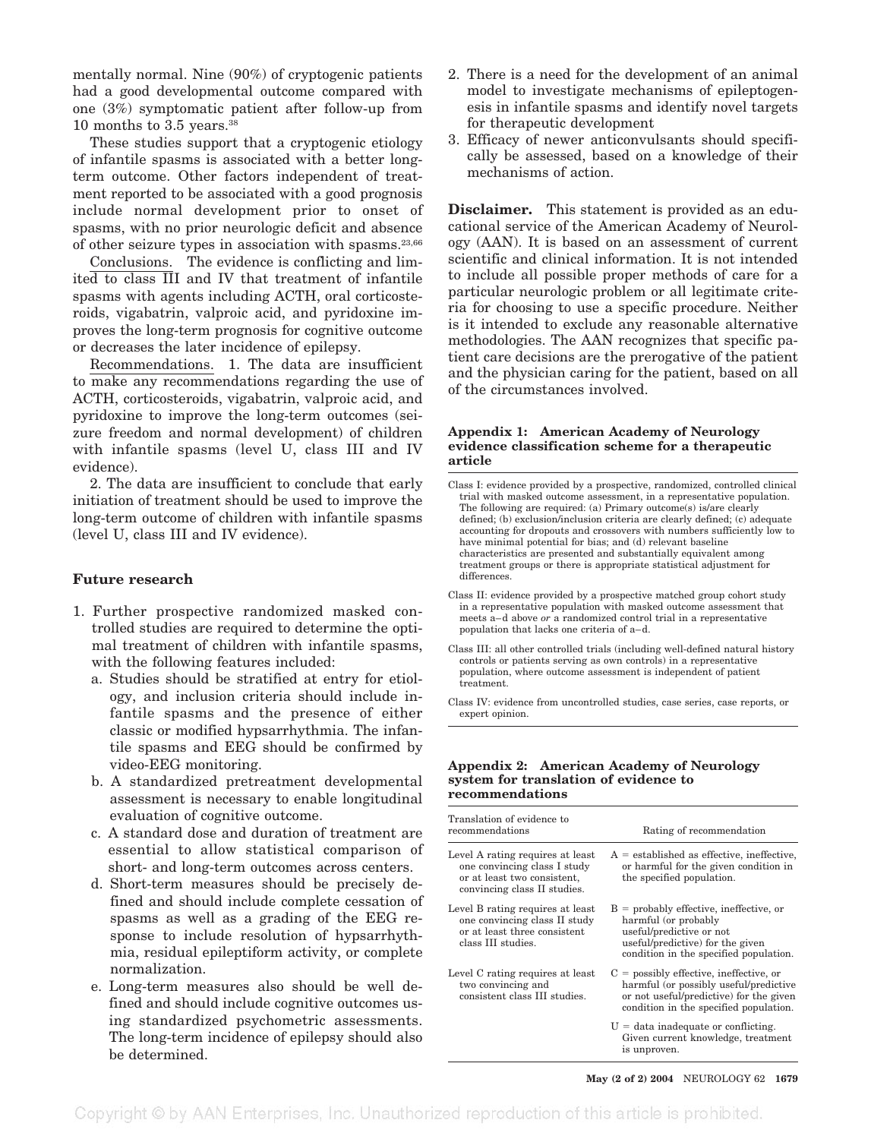mentally normal. Nine (90%) of cryptogenic patients had a good developmental outcome compared with one (3%) symptomatic patient after follow-up from 10 months to 3.5 years.38

These studies support that a cryptogenic etiology of infantile spasms is associated with a better longterm outcome. Other factors independent of treatment reported to be associated with a good prognosis include normal development prior to onset of spasms, with no prior neurologic deficit and absence of other seizure types in association with spasms.23,66

Conclusions. The evidence is conflicting and limited to class III and IV that treatment of infantile spasms with agents including ACTH, oral corticosteroids, vigabatrin, valproic acid, and pyridoxine improves the long-term prognosis for cognitive outcome or decreases the later incidence of epilepsy.

Recommendations. 1. The data are insufficient to make any recommendations regarding the use of ACTH, corticosteroids, vigabatrin, valproic acid, and pyridoxine to improve the long-term outcomes (seizure freedom and normal development) of children with infantile spasms (level U, class III and IV evidence).

2. The data are insufficient to conclude that early initiation of treatment should be used to improve the long-term outcome of children with infantile spasms (level U, class III and IV evidence).

### **Future research**

- 1. Further prospective randomized masked controlled studies are required to determine the optimal treatment of children with infantile spasms, with the following features included:
	- a. Studies should be stratified at entry for etiology, and inclusion criteria should include infantile spasms and the presence of either classic or modified hypsarrhythmia. The infantile spasms and EEG should be confirmed by video-EEG monitoring.
	- b. A standardized pretreatment developmental assessment is necessary to enable longitudinal evaluation of cognitive outcome.
	- c. A standard dose and duration of treatment are essential to allow statistical comparison of short- and long-term outcomes across centers.
	- d. Short-term measures should be precisely defined and should include complete cessation of spasms as well as a grading of the EEG response to include resolution of hypsarrhythmia, residual epileptiform activity, or complete normalization.
	- e. Long-term measures also should be well defined and should include cognitive outcomes using standardized psychometric assessments. The long-term incidence of epilepsy should also be determined.
- 2. There is a need for the development of an animal model to investigate mechanisms of epileptogenesis in infantile spasms and identify novel targets for therapeutic development
- 3. Efficacy of newer anticonvulsants should specifically be assessed, based on a knowledge of their mechanisms of action.

**Disclaimer.** This statement is provided as an educational service of the American Academy of Neurology (AAN). It is based on an assessment of current scientific and clinical information. It is not intended to include all possible proper methods of care for a particular neurologic problem or all legitimate criteria for choosing to use a specific procedure. Neither is it intended to exclude any reasonable alternative methodologies. The AAN recognizes that specific patient care decisions are the prerogative of the patient and the physician caring for the patient, based on all of the circumstances involved.

#### **Appendix 1: American Academy of Neurology evidence classification scheme for a therapeutic article**

- Class I: evidence provided by a prospective, randomized, controlled clinical trial with masked outcome assessment, in a representative population. The following are required: (a) Primary outcome(s) is/are clearly defined; (b) exclusion/inclusion criteria are clearly defined; (c) adequate accounting for dropouts and crossovers with numbers sufficiently low to have minimal potential for bias; and (d) relevant baseline characteristics are presented and substantially equivalent among treatment groups or there is appropriate statistical adjustment for differences.
- Class II: evidence provided by a prospective matched group cohort study in a representative population with masked outcome assessment that meets a–d above *or* a randomized control trial in a representative population that lacks one criteria of a–d.
- Class III: all other controlled trials (including well-defined natural history controls or patients serving as own controls) in a representative population, where outcome assessment is independent of patient treatment.
- Class IV: evidence from uncontrolled studies, case series, case reports, or expert opinion.

#### **Appendix 2: American Academy of Neurology system for translation of evidence to recommendations**

| Translation of evidence to<br>recommendations                                                                                   | Rating of recommendation                                                                                                                                                    |  |  |  |  |
|---------------------------------------------------------------------------------------------------------------------------------|-----------------------------------------------------------------------------------------------------------------------------------------------------------------------------|--|--|--|--|
| Level A rating requires at least<br>one convincing class I study<br>or at least two consistent,<br>convincing class II studies. | $A =$ established as effective, ineffective,<br>or harmful for the given condition in<br>the specified population.                                                          |  |  |  |  |
| Level B rating requires at least<br>one convincing class II study<br>or at least three consistent<br>class III studies.         | $B =$ probably effective, ineffective, or<br>harmful (or probably<br>useful/predictive or not<br>useful/predictive) for the given<br>condition in the specified population. |  |  |  |  |
| Level C rating requires at least<br>two convincing and<br>consistent class III studies.                                         | $C =$ possibly effective, ineffective, or<br>harmful (or possibly useful/predictive<br>or not useful/predictive) for the given<br>condition in the specified population.    |  |  |  |  |
|                                                                                                                                 | $U =$ data inadequate or conflicting.<br>Given current knowledge, treatment<br>is unproven.                                                                                 |  |  |  |  |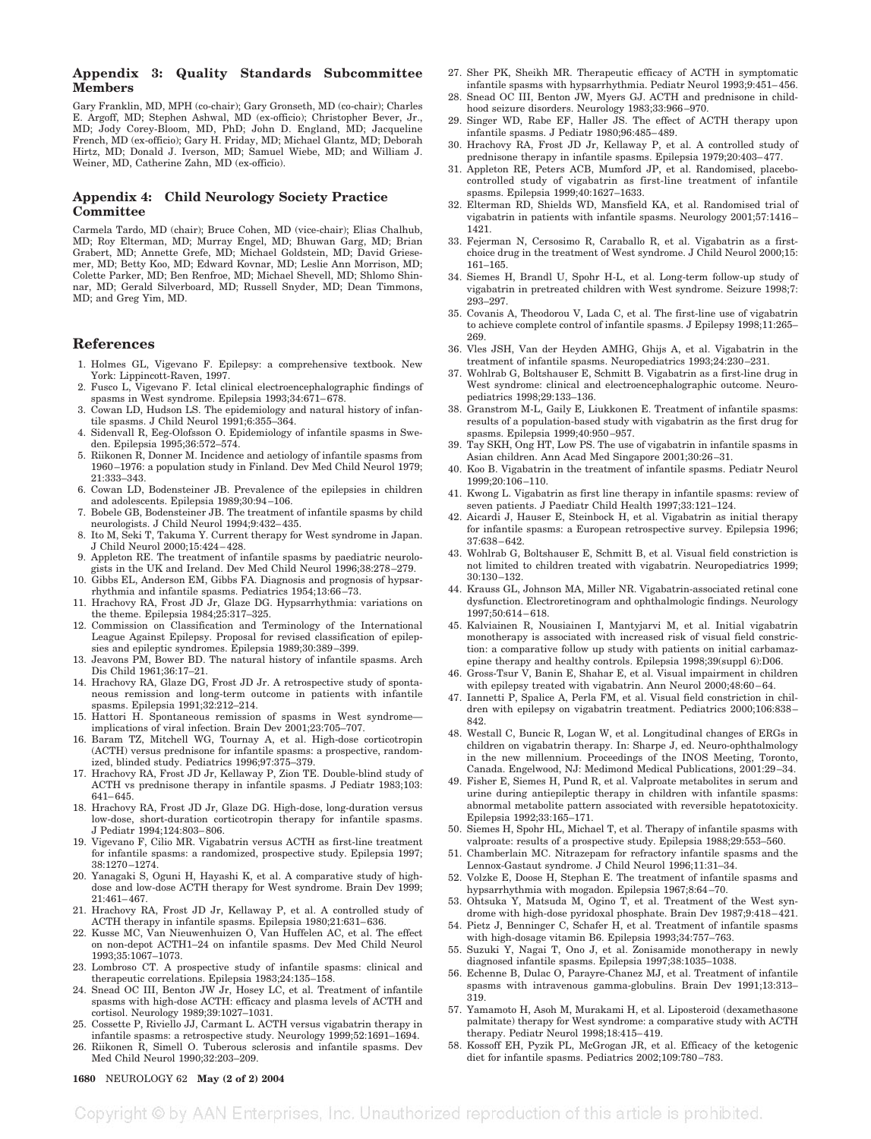#### **Appendix 3: Quality Standards Subcommittee Members**

Gary Franklin, MD, MPH (co-chair); Gary Gronseth, MD (co-chair); Charles E. Argoff, MD; Stephen Ashwal, MD (ex-officio); Christopher Bever, Jr., MD; Jody Corey-Bloom, MD, PhD; John D. England, MD; Jacqueline French, MD (ex-officio); Gary H. Friday, MD; Michael Glantz, MD; Deborah Hirtz, MD; Donald J. Iverson, MD; Samuel Wiebe, MD; and William J. Weiner, MD, Catherine Zahn, MD (ex-officio).

#### **Appendix 4: Child Neurology Society Practice Committee**

Carmela Tardo, MD (chair); Bruce Cohen, MD (vice-chair); Elias Chalhub, MD; Roy Elterman, MD; Murray Engel, MD; Bhuwan Garg, MD; Brian Grabert, MD; Annette Grefe, MD; Michael Goldstein, MD; David Griesemer, MD; Betty Koo, MD; Edward Kovnar, MD; Leslie Ann Morrison, MD; Colette Parker, MD; Ben Renfroe, MD; Michael Shevell, MD; Shlomo Shinnar, MD; Gerald Silverboard, MD; Russell Snyder, MD; Dean Timmons, MD; and Greg Yim, MD.

#### **References**

- 1. Holmes GL, Vigevano F. Epilepsy: a comprehensive textbook. New York: Lippincott-Raven, 1997.
- 2. Fusco L, Vigevano F. Ictal clinical electroencephalographic findings of spasms in West syndrome. Epilepsia 1993;34:671–678.
- 3. Cowan LD, Hudson LS. The epidemiology and natural history of infantile spasms. J Child Neurol 1991;6:355–364.
- 4. Sidenvall R, Eeg-Olofsson O. Epidemiology of infantile spasms in Sweden. Epilepsia 1995;36:572–574.
- 5. Riikonen R, Donner M. Incidence and aetiology of infantile spasms from 1960–1976: a population study in Finland. Dev Med Child Neurol 1979; 21:333–343.
- 6. Cowan LD, Bodensteiner JB. Prevalence of the epilepsies in children and adolescents. Epilepsia 1989;30:94–106.
- 7. Bobele GB, Bodensteiner JB. The treatment of infantile spasms by child neurologists. J Child Neurol 1994;9:432–435.
- 8. Ito M, Seki T, Takuma Y. Current therapy for West syndrome in Japan. J Child Neurol 2000;15:424–428.
- 9. Appleton RE. The treatment of infantile spasms by paediatric neurologists in the UK and Ireland. Dev Med Child Neurol 1996;38:278–279.
- 10. Gibbs EL, Anderson EM, Gibbs FA. Diagnosis and prognosis of hypsarrhythmia and infantile spasms. Pediatrics 1954;13:66–73.
- 11. Hrachovy RA, Frost JD Jr, Glaze DG. Hypsarrhythmia: variations on the theme. Epilepsia 1984;25:317–325.
- 12. Commission on Classification and Terminology of the International League Against Epilepsy. Proposal for revised classification of epilepsies and epileptic syndromes. Epilepsia 1989;30:389–399.
- 13. Jeavons PM, Bower BD. The natural history of infantile spasms. Arch Dis Child 1961;36:17–21.
- 14. Hrachovy RA, Glaze DG, Frost JD Jr. A retrospective study of spontaneous remission and long-term outcome in patients with infantile spasms. Epilepsia 1991;32:212–214.
- 15. Hattori H. Spontaneous remission of spasms in West syndrome implications of viral infection. Brain Dev 2001;23:705–707.
- 16. Baram TZ, Mitchell WG, Tournay A, et al. High-dose corticotropin (ACTH) versus prednisone for infantile spasms: a prospective, randomized, blinded study. Pediatrics 1996;97:375–379.
- 17. Hrachovy RA, Frost JD Jr, Kellaway P, Zion TE. Double-blind study of ACTH vs prednisone therapy in infantile spasms. J Pediatr 1983;103: 641–645.
- 18. Hrachovy RA, Frost JD Jr, Glaze DG. High-dose, long-duration versus low-dose, short-duration corticotropin therapy for infantile spasms. J Pediatr 1994;124:803–806.
- 19. Vigevano F, Cilio MR. Vigabatrin versus ACTH as first-line treatment for infantile spasms: a randomized, prospective study. Epilepsia 1997; 38:1270–1274.
- 20. Yanagaki S, Oguni H, Hayashi K, et al. A comparative study of highdose and low-dose ACTH therapy for West syndrome. Brain Dev 1999; 21:461–467.
- 21. Hrachovy RA, Frost JD Jr, Kellaway P, et al. A controlled study of ACTH therapy in infantile spasms. Epilepsia 1980;21:631–636.
- 22. Kusse MC, Van Nieuwenhuizen O, Van Huffelen AC, et al. The effect on non-depot ACTH1–24 on infantile spasms. Dev Med Child Neurol 1993;35:1067–1073.
- 23. Lombroso CT. A prospective study of infantile spasms: clinical and therapeutic correlations. Epilepsia 1983;24:135–158.
- 24. Snead OC III, Benton JW Jr, Hosey LC, et al. Treatment of infantile spasms with high-dose ACTH: efficacy and plasma levels of ACTH and cortisol. Neurology 1989;39:1027–1031.
- 25. Cossette P, Riviello JJ, Carmant L. ACTH versus vigabatrin therapy in infantile spasms: a retrospective study. Neurology 1999;52:1691–1694.
- 26. Riikonen R, Simell O. Tuberous sclerosis and infantile spasms. Dev Med Child Neurol 1990;32:203–209.
- 27. Sher PK, Sheikh MR. Therapeutic efficacy of ACTH in symptomatic infantile spasms with hypsarrhythmia. Pediatr Neurol 1993;9:451–456.
- 28. Snead OC III, Benton JW, Myers GJ. ACTH and prednisone in childhood seizure disorders. Neurology 1983;33:966–970.
- 29. Singer WD, Rabe EF, Haller JS. The effect of ACTH therapy upon infantile spasms. J Pediatr 1980;96:485–489.
- 30. Hrachovy RA, Frost JD Jr, Kellaway P, et al. A controlled study of prednisone therapy in infantile spasms. Epilepsia 1979;20:403–477.
- 31. Appleton RE, Peters ACB, Mumford JP, et al. Randomised, placebocontrolled study of vigabatrin as first-line treatment of infantile spasms. Epilepsia 1999;40:1627–1633.
- 32. Elterman RD, Shields WD, Mansfield KA, et al. Randomised trial of vigabatrin in patients with infantile spasms. Neurology 2001;57:1416– 1421.
- 33. Fejerman N, Cersosimo R, Caraballo R, et al. Vigabatrin as a firstchoice drug in the treatment of West syndrome. J Child Neurol 2000;15: 161–165.
- 34. Siemes H, Brandl U, Spohr H-L, et al. Long-term follow-up study of vigabatrin in pretreated children with West syndrome. Seizure 1998;7: 293–297.
- 35. Covanis A, Theodorou V, Lada C, et al. The first-line use of vigabatrin to achieve complete control of infantile spasms. J Epilepsy 1998;11:265– 269.
- 36. Vles JSH, Van der Heyden AMHG, Ghijs A, et al. Vigabatrin in the treatment of infantile spasms. Neuropediatrics 1993;24:230–231.
- 37. Wohlrab G, Boltshauser E, Schmitt B. Vigabatrin as a first-line drug in West syndrome: clinical and electroencephalographic outcome. Neuropediatrics 1998;29:133–136.
- 38. Granstrom M-L, Gaily E, Liukkonen E. Treatment of infantile spasms: results of a population-based study with vigabatrin as the first drug for spasms. Epilepsia 1999;40:950–957.
- 39. Tay SKH, Ong HT, Low PS. The use of vigabatrin in infantile spasms in Asian children. Ann Acad Med Singapore 2001;30:26–31.
- 40. Koo B. Vigabatrin in the treatment of infantile spasms. Pediatr Neurol 1999;20:106–110.
- 41. Kwong L. Vigabatrin as first line therapy in infantile spasms: review of seven patients. J Paediatr Child Health 1997;33:121–124.
- 42. Aicardi J, Hauser E, Steinbock H, et al. Vigabatrin as initial therapy for infantile spasms: a European retrospective survey. Epilepsia 1996; 37:638–642.
- 43. Wohlrab G, Boltshauser E, Schmitt B, et al. Visual field constriction is not limited to children treated with vigabatrin. Neuropediatrics 1999; 30:130–132.
- 44. Krauss GL, Johnson MA, Miller NR. Vigabatrin-associated retinal cone dysfunction. Electroretinogram and ophthalmologic findings. Neurology 1997;50:614–618.
- 45. Kalviainen R, Nousiainen I, Mantyjarvi M, et al. Initial vigabatrin monotherapy is associated with increased risk of visual field constriction: a comparative follow up study with patients on initial carbamazepine therapy and healthy controls. Epilepsia 1998;39(suppl 6):D06.
- 46. Gross-Tsur V, Banin E, Shahar E, et al. Visual impairment in children with epilepsy treated with vigabatrin. Ann Neurol 2000;48:60–64.
- 47. Iannetti P, Spalice A, Perla FM, et al. Visual field constriction in children with epilepsy on vigabatrin treatment. Pediatrics 2000;106:838– 842.
- 48. Westall C, Buncic R, Logan W, et al. Longitudinal changes of ERGs in children on vigabatrin therapy. In: Sharpe J, ed. Neuro-ophthalmology in the new millennium. Proceedings of the INOS Meeting, Toronto, Canada. Engelwood, NJ: Medimond Medical Publications, 2001:29–34.
- 49. Fisher E, Siemes H, Pund R, et al. Valproate metabolites in serum and urine during antiepileptic therapy in children with infantile spasms: abnormal metabolite pattern associated with reversible hepatotoxicity. Epilepsia 1992;33:165–171.
- 50. Siemes H, Spohr HL, Michael T, et al. Therapy of infantile spasms with valproate: results of a prospective study. Epilepsia 1988;29:553–560.
- 51. Chamberlain MC. Nitrazepam for refractory infantile spasms and the Lennox-Gastaut syndrome. J Child Neurol 1996;11:31–34.
- 52. Volzke E, Doose H, Stephan E. The treatment of infantile spasms and hypsarrhythmia with mogadon. Epilepsia 1967;8:64–70.
- 53. Ohtsuka Y, Matsuda M, Ogino T, et al. Treatment of the West syndrome with high-dose pyridoxal phosphate. Brain Dev 1987;9:418–421.
- 54. Pietz J, Benninger C, Schafer H, et al. Treatment of infantile spasms with high-dosage vitamin B6. Epilepsia 1993;34:757–763.
- 55. Suzuki Y, Nagai T, Ono J, et al. Zonisamide monotherapy in newly diagnosed infantile spasms. Epilepsia 1997;38:1035–1038.
- 56. Echenne B, Dulac O, Parayre-Chanez MJ, et al. Treatment of infantile spasms with intravenous gamma-globulins. Brain Dev 1991;13:313– 319.
- 57. Yamamoto H, Asoh M, Murakami H, et al. Liposteroid (dexamethasone palmitate) therapy for West syndrome: a comparative study with ACTH therapy. Pediatr Neurol 1998;18:415–419.
- 58. Kossoff EH, Pyzik PL, McGrogan JR, et al. Efficacy of the ketogenic diet for infantile spasms. Pediatrics 2002;109:780–783.

#### **1680** NEUROLOGY 62 **May (2 of 2) 2004**